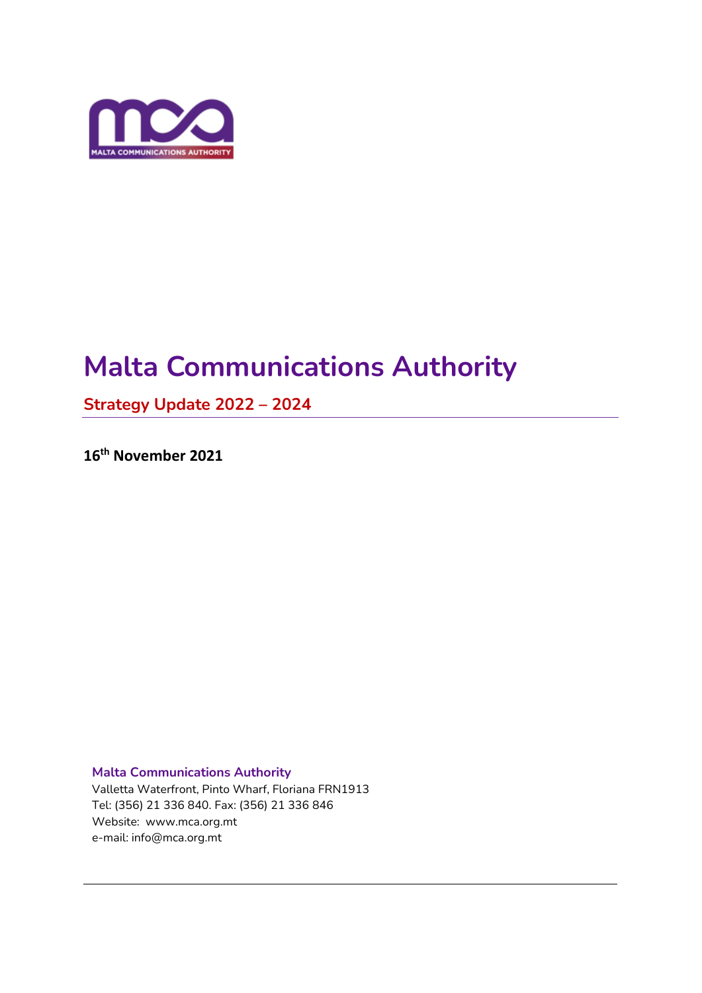

# **Malta Communications Authority**

**Strategy Update 2022 – 2024**

**16 th November 2021**

**Malta Communications Authority** 

Valletta Waterfront, Pinto Wharf, Floriana FRN1913 Tel: (356) 21 336 840. Fax: (356) 21 336 846 Website: www.mca.org.mt e-mail: info@mca.org.mt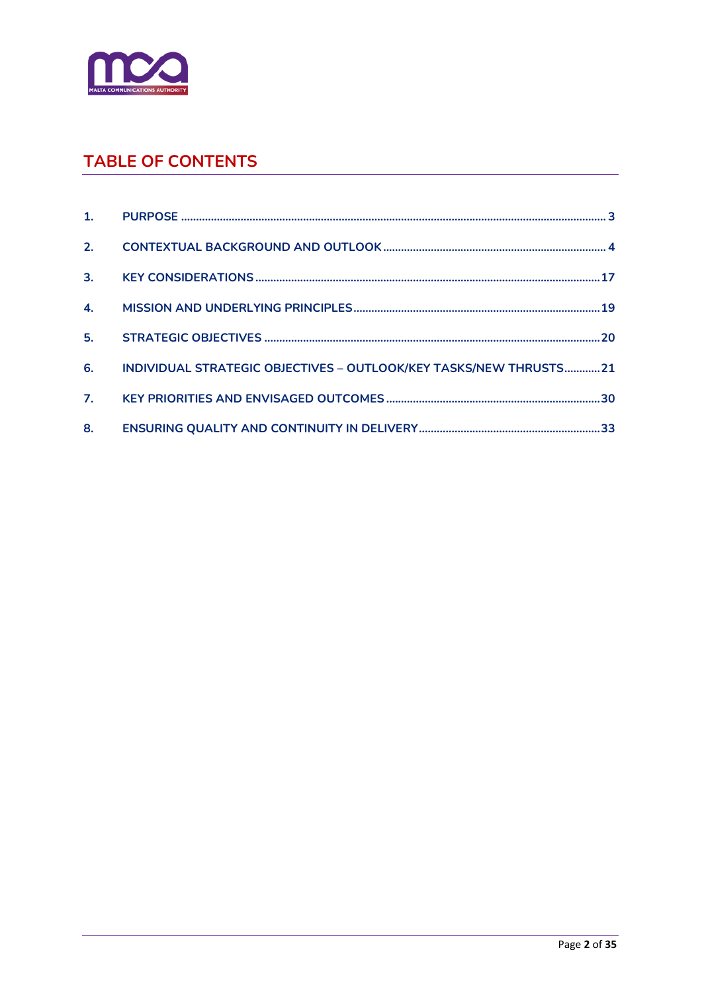

# **TABLE OF CONTENTS**

|    | 6. INDIVIDUAL STRATEGIC OBJECTIVES - OUTLOOK/KEY TASKS/NEW THRUSTS21 |  |
|----|----------------------------------------------------------------------|--|
|    |                                                                      |  |
| 8. |                                                                      |  |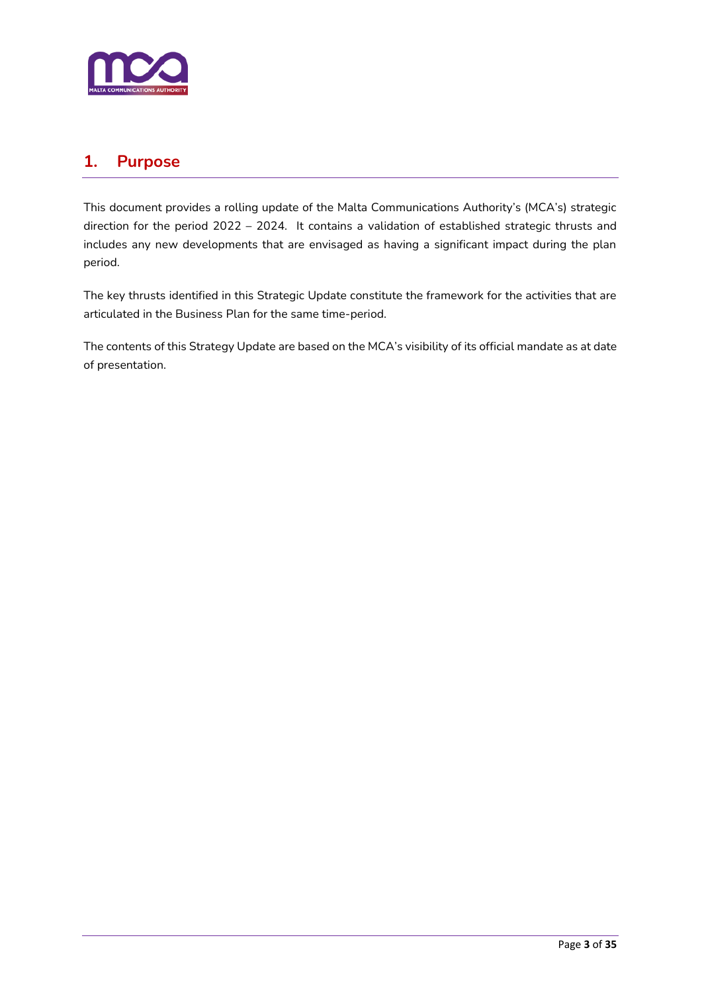

### <span id="page-2-0"></span>**1. Purpose**

This document provides a rolling update of the Malta Communications Authority's (MCA's) strategic direction for the period 2022 – 2024. It contains a validation of established strategic thrusts and includes any new developments that are envisaged as having a significant impact during the plan period.

The key thrusts identified in this Strategic Update constitute the framework for the activities that are articulated in the Business Plan for the same time-period.

The contents of this Strategy Update are based on the MCA's visibility of its official mandate as at date of presentation.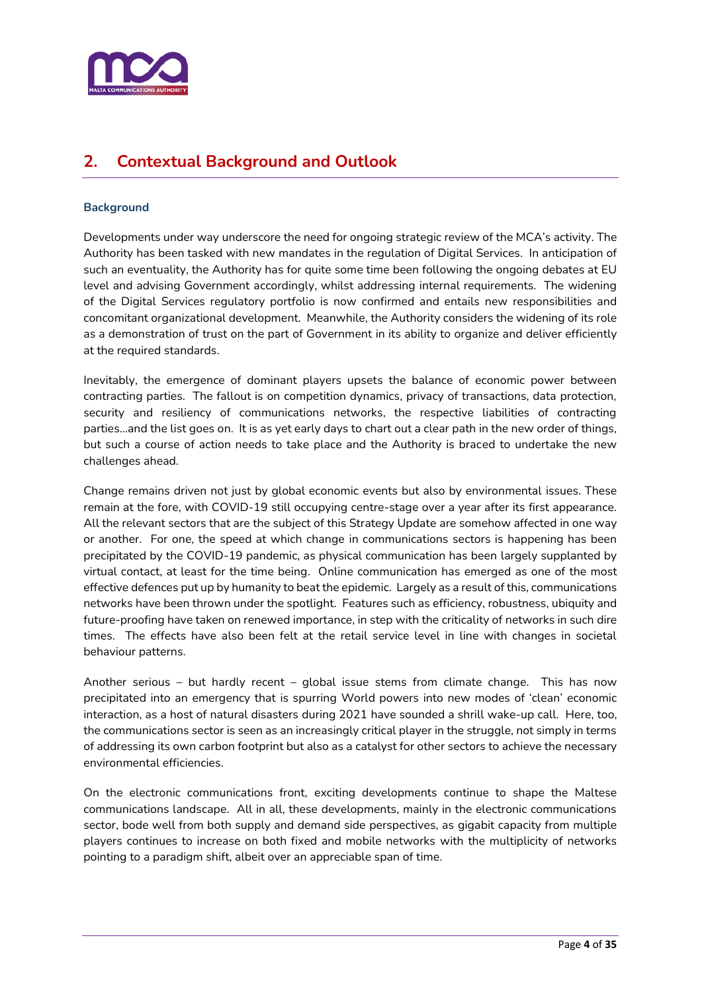

# <span id="page-3-0"></span>**2. Contextual Background and Outlook**

#### **Background**

Developments under way underscore the need for ongoing strategic review of the MCA's activity. The Authority has been tasked with new mandates in the regulation of Digital Services. In anticipation of such an eventuality, the Authority has for quite some time been following the ongoing debates at EU level and advising Government accordingly, whilst addressing internal requirements. The widening of the Digital Services regulatory portfolio is now confirmed and entails new responsibilities and concomitant organizational development. Meanwhile, the Authority considers the widening of its role as a demonstration of trust on the part of Government in its ability to organize and deliver efficiently at the required standards.

Inevitably, the emergence of dominant players upsets the balance of economic power between contracting parties. The fallout is on competition dynamics, privacy of transactions, data protection, security and resiliency of communications networks, the respective liabilities of contracting parties…and the list goes on. It is as yet early days to chart out a clear path in the new order of things, but such a course of action needs to take place and the Authority is braced to undertake the new challenges ahead.

Change remains driven not just by global economic events but also by environmental issues. These remain at the fore, with COVID-19 still occupying centre-stage over a year after its first appearance. All the relevant sectors that are the subject of this Strategy Update are somehow affected in one way or another. For one, the speed at which change in communications sectors is happening has been precipitated by the COVID-19 pandemic, as physical communication has been largely supplanted by virtual contact, at least for the time being. Online communication has emerged as one of the most effective defences put up by humanity to beat the epidemic. Largely as a result of this, communications networks have been thrown under the spotlight. Features such as efficiency, robustness, ubiquity and future-proofing have taken on renewed importance, in step with the criticality of networks in such dire times. The effects have also been felt at the retail service level in line with changes in societal behaviour patterns.

Another serious – but hardly recent – global issue stems from climate change. This has now precipitated into an emergency that is spurring World powers into new modes of 'clean' economic interaction, as a host of natural disasters during 2021 have sounded a shrill wake-up call. Here, too, the communications sector is seen as an increasingly critical player in the struggle, not simply in terms of addressing its own carbon footprint but also as a catalyst for other sectors to achieve the necessary environmental efficiencies.

On the electronic communications front, exciting developments continue to shape the Maltese communications landscape. All in all, these developments, mainly in the electronic communications sector, bode well from both supply and demand side perspectives, as gigabit capacity from multiple players continues to increase on both fixed and mobile networks with the multiplicity of networks pointing to a paradigm shift, albeit over an appreciable span of time.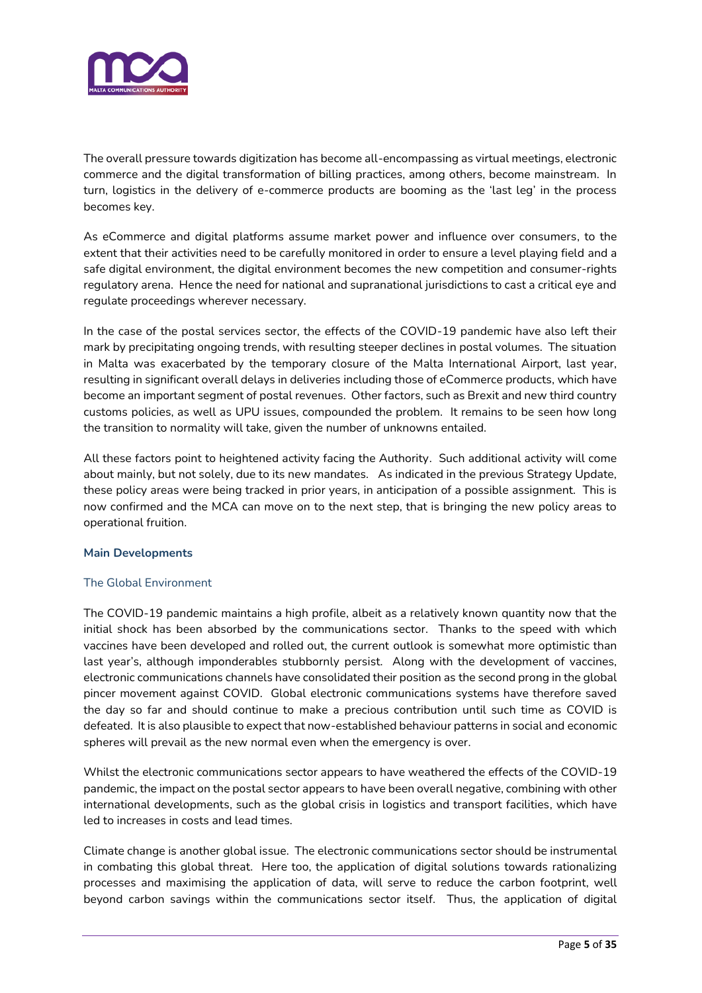

The overall pressure towards digitization has become all-encompassing as virtual meetings, electronic commerce and the digital transformation of billing practices, among others, become mainstream. In turn, logistics in the delivery of e-commerce products are booming as the 'last leg' in the process becomes key.

As eCommerce and digital platforms assume market power and influence over consumers, to the extent that their activities need to be carefully monitored in order to ensure a level playing field and a safe digital environment, the digital environment becomes the new competition and consumer-rights regulatory arena. Hence the need for national and supranational jurisdictions to cast a critical eye and regulate proceedings wherever necessary.

In the case of the postal services sector, the effects of the COVID-19 pandemic have also left their mark by precipitating ongoing trends, with resulting steeper declines in postal volumes. The situation in Malta was exacerbated by the temporary closure of the Malta International Airport, last year, resulting in significant overall delays in deliveries including those of eCommerce products, which have become an important segment of postal revenues. Other factors, such as Brexit and new third country customs policies, as well as UPU issues, compounded the problem. It remains to be seen how long the transition to normality will take, given the number of unknowns entailed.

All these factors point to heightened activity facing the Authority. Such additional activity will come about mainly, but not solely, due to its new mandates. As indicated in the previous Strategy Update, these policy areas were being tracked in prior years, in anticipation of a possible assignment. This is now confirmed and the MCA can move on to the next step, that is bringing the new policy areas to operational fruition.

#### **Main Developments**

#### The Global Environment

The COVID-19 pandemic maintains a high profile, albeit as a relatively known quantity now that the initial shock has been absorbed by the communications sector. Thanks to the speed with which vaccines have been developed and rolled out, the current outlook is somewhat more optimistic than last year's, although imponderables stubbornly persist. Along with the development of vaccines, electronic communications channels have consolidated their position as the second prong in the global pincer movement against COVID. Global electronic communications systems have therefore saved the day so far and should continue to make a precious contribution until such time as COVID is defeated. It is also plausible to expect that now-established behaviour patterns in social and economic spheres will prevail as the new normal even when the emergency is over.

Whilst the electronic communications sector appears to have weathered the effects of the COVID-19 pandemic, the impact on the postal sector appears to have been overall negative, combining with other international developments, such as the global crisis in logistics and transport facilities, which have led to increases in costs and lead times.

Climate change is another global issue. The electronic communications sector should be instrumental in combating this global threat. Here too, the application of digital solutions towards rationalizing processes and maximising the application of data, will serve to reduce the carbon footprint, well beyond carbon savings within the communications sector itself. Thus, the application of digital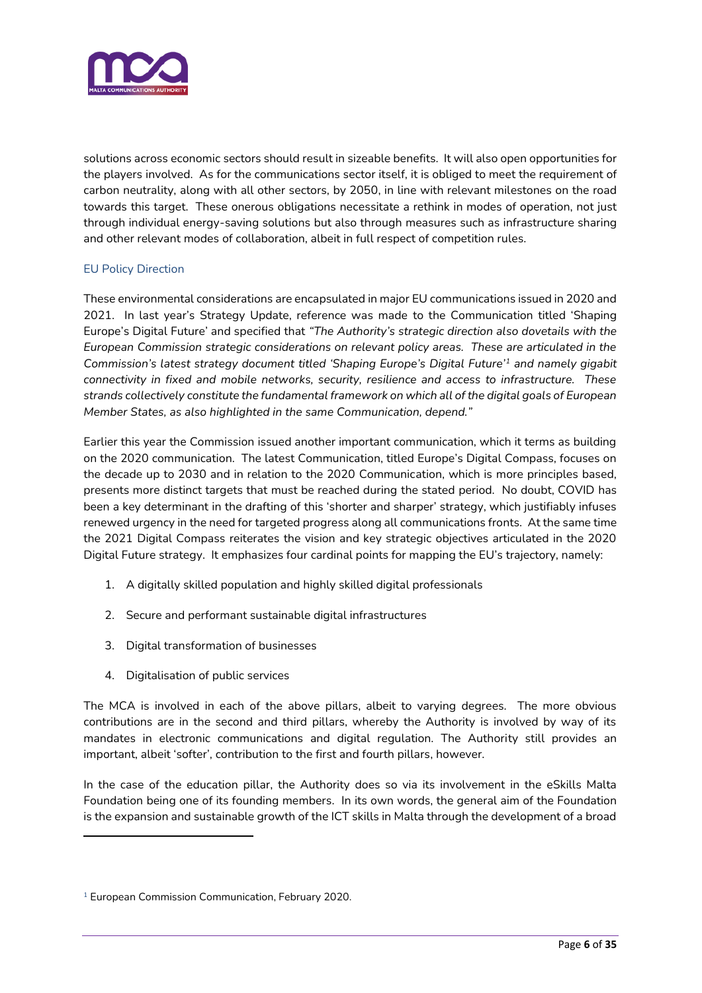

solutions across economic sectors should result in sizeable benefits. It will also open opportunities for the players involved. As for the communications sector itself, it is obliged to meet the requirement of carbon neutrality, along with all other sectors, by 2050, in line with relevant milestones on the road towards this target. These onerous obligations necessitate a rethink in modes of operation, not just through individual energy-saving solutions but also through measures such as infrastructure sharing and other relevant modes of collaboration, albeit in full respect of competition rules.

#### EU Policy Direction

These environmental considerations are encapsulated in major EU communications issued in 2020 and 2021. In last year's Strategy Update, reference was made to the Communication titled 'Shaping Europe's Digital Future' and specified that *"The Authority's strategic direction also dovetails with the European Commission strategic considerations on relevant policy areas. These are articulated in the Commission's latest strategy document titled 'Shaping Europe's Digital Future'<sup>1</sup> and namely gigabit connectivity in fixed and mobile networks, security, resilience and access to infrastructure. These strands collectively constitute the fundamental framework on which all of the digital goals of European Member States, as also highlighted in the same Communication, depend."*

Earlier this year the Commission issued another important communication, which it terms as building on the 2020 communication. The latest Communication, titled Europe's Digital Compass, focuses on the decade up to 2030 and in relation to the 2020 Communication, which is more principles based, presents more distinct targets that must be reached during the stated period. No doubt, COVID has been a key determinant in the drafting of this 'shorter and sharper' strategy, which justifiably infuses renewed urgency in the need for targeted progress along all communications fronts. At the same time the 2021 Digital Compass reiterates the vision and key strategic objectives articulated in the 2020 Digital Future strategy. It emphasizes four cardinal points for mapping the EU's trajectory, namely:

- 1. A digitally skilled population and highly skilled digital professionals
- 2. Secure and performant sustainable digital infrastructures
- 3. Digital transformation of businesses
- 4. Digitalisation of public services

The MCA is involved in each of the above pillars, albeit to varying degrees. The more obvious contributions are in the second and third pillars, whereby the Authority is involved by way of its mandates in electronic communications and digital regulation. The Authority still provides an important, albeit 'softer', contribution to the first and fourth pillars, however.

In the case of the education pillar, the Authority does so via its involvement in the eSkills Malta Foundation being one of its founding members. In its own words, the general aim of the Foundation is the expansion and sustainable growth of the ICT skills in Malta through the development of a broad

<sup>&</sup>lt;sup>1</sup> European Commission Communication, February 2020.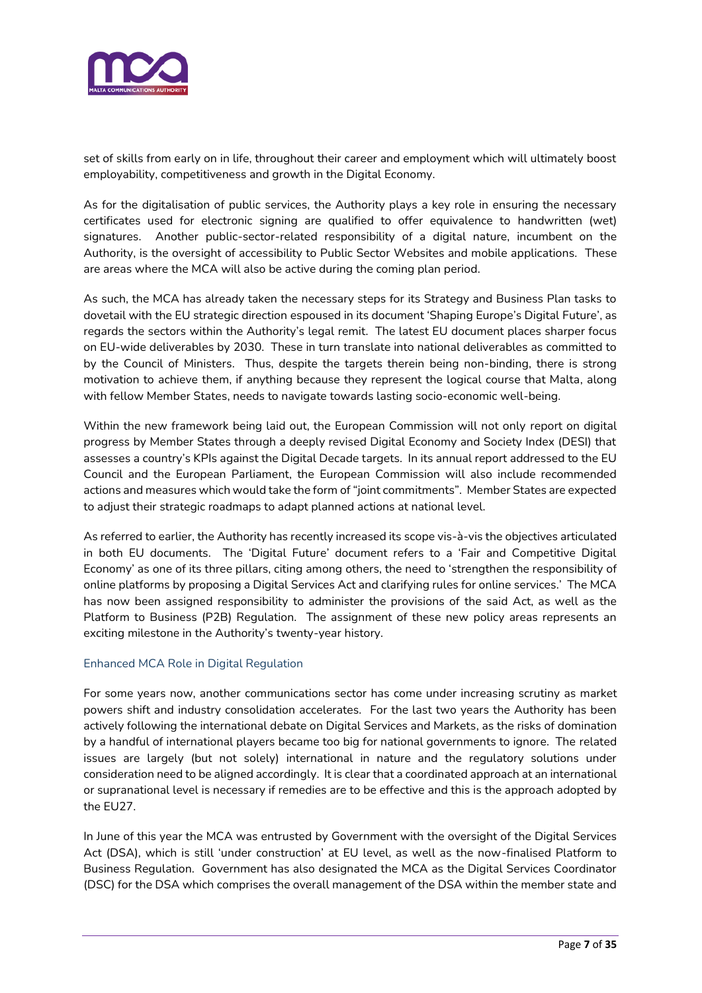

set of skills from early on in life, throughout their career and employment which will ultimately boost employability, competitiveness and growth in the Digital Economy.

As for the digitalisation of public services, the Authority plays a key role in ensuring the necessary certificates used for electronic signing are qualified to offer equivalence to handwritten (wet) signatures. Another public-sector-related responsibility of a digital nature, incumbent on the Authority, is the oversight of accessibility to Public Sector Websites and mobile applications. These are areas where the MCA will also be active during the coming plan period.

As such, the MCA has already taken the necessary steps for its Strategy and Business Plan tasks to dovetail with the EU strategic direction espoused in its document 'Shaping Europe's Digital Future', as regards the sectors within the Authority's legal remit. The latest EU document places sharper focus on EU-wide deliverables by 2030. These in turn translate into national deliverables as committed to by the Council of Ministers. Thus, despite the targets therein being non-binding, there is strong motivation to achieve them, if anything because they represent the logical course that Malta, along with fellow Member States, needs to navigate towards lasting socio-economic well-being.

Within the new framework being laid out, the European Commission will not only report on digital progress by Member States through a deeply revised Digital Economy and Society Index (DESI) that assesses a country's KPIs against the Digital Decade targets. In its annual report addressed to the EU Council and the European Parliament, the European Commission will also include recommended actions and measures which would take the form of "joint commitments". Member States are expected to adjust their strategic roadmaps to adapt planned actions at national level.

As referred to earlier, the Authority has recently increased its scope vis-à-vis the objectives articulated in both EU documents. The 'Digital Future' document refers to a 'Fair and Competitive Digital Economy' as one of its three pillars, citing among others, the need to 'strengthen the responsibility of online platforms by proposing a Digital Services Act and clarifying rules for online services.' The MCA has now been assigned responsibility to administer the provisions of the said Act, as well as the Platform to Business (P2B) Regulation. The assignment of these new policy areas represents an exciting milestone in the Authority's twenty-year history.

#### Enhanced MCA Role in Digital Regulation

For some years now, another communications sector has come under increasing scrutiny as market powers shift and industry consolidation accelerates. For the last two years the Authority has been actively following the international debate on Digital Services and Markets, as the risks of domination by a handful of international players became too big for national governments to ignore. The related issues are largely (but not solely) international in nature and the regulatory solutions under consideration need to be aligned accordingly. It is clear that a coordinated approach at an international or supranational level is necessary if remedies are to be effective and this is the approach adopted by the EU27.

In June of this year the MCA was entrusted by Government with the oversight of the Digital Services Act (DSA), which is still 'under construction' at EU level, as well as the now-finalised Platform to Business Regulation. Government has also designated the MCA as the Digital Services Coordinator (DSC) for the DSA which comprises the overall management of the DSA within the member state and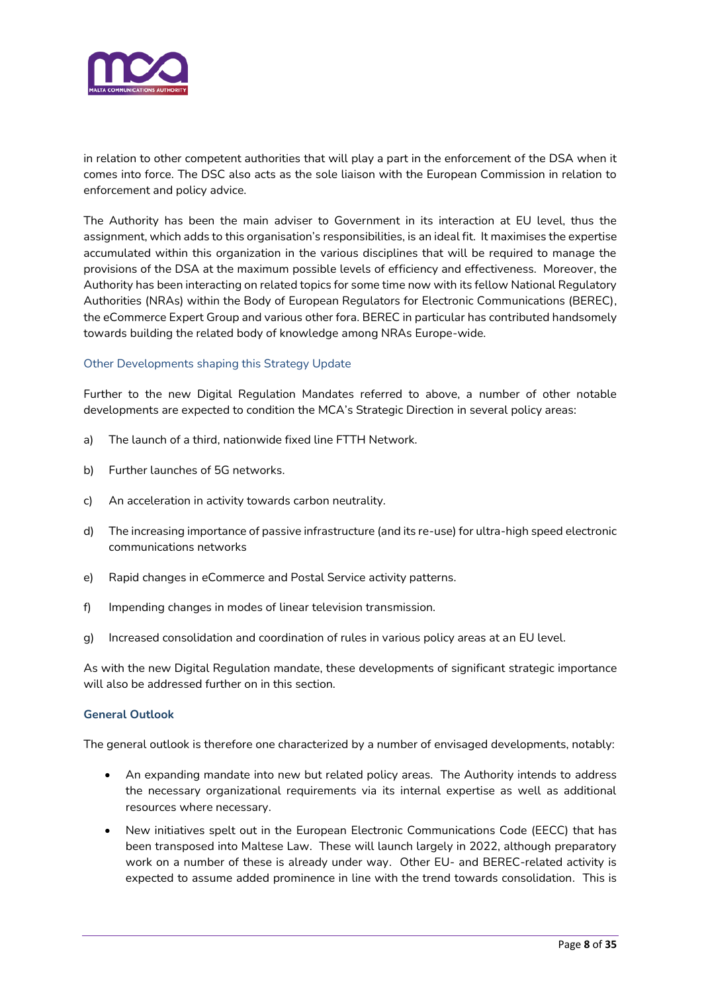

in relation to other competent authorities that will play a part in the enforcement of the DSA when it comes into force. The DSC also acts as the sole liaison with the European Commission in relation to enforcement and policy advice.

The Authority has been the main adviser to Government in its interaction at EU level, thus the assignment, which adds to this organisation's responsibilities, is an ideal fit. It maximises the expertise accumulated within this organization in the various disciplines that will be required to manage the provisions of the DSA at the maximum possible levels of efficiency and effectiveness. Moreover, the Authority has been interacting on related topics for some time now with its fellow National Regulatory Authorities (NRAs) within the Body of European Regulators for Electronic Communications (BEREC), the eCommerce Expert Group and various other fora. BEREC in particular has contributed handsomely towards building the related body of knowledge among NRAs Europe-wide.

#### Other Developments shaping this Strategy Update

Further to the new Digital Regulation Mandates referred to above, a number of other notable developments are expected to condition the MCA's Strategic Direction in several policy areas:

- a) The launch of a third, nationwide fixed line FTTH Network.
- b) Further launches of 5G networks.
- c) An acceleration in activity towards carbon neutrality.
- d) The increasing importance of passive infrastructure (and its re-use) for ultra-high speed electronic communications networks
- e) Rapid changes in eCommerce and Postal Service activity patterns.
- f) Impending changes in modes of linear television transmission.
- g) Increased consolidation and coordination of rules in various policy areas at an EU level.

As with the new Digital Regulation mandate, these developments of significant strategic importance will also be addressed further on in this section.

#### **General Outlook**

The general outlook is therefore one characterized by a number of envisaged developments, notably:

- An expanding mandate into new but related policy areas. The Authority intends to address the necessary organizational requirements via its internal expertise as well as additional resources where necessary.
- New initiatives spelt out in the European Electronic Communications Code (EECC) that has been transposed into Maltese Law. These will launch largely in 2022, although preparatory work on a number of these is already under way. Other EU- and BEREC-related activity is expected to assume added prominence in line with the trend towards consolidation. This is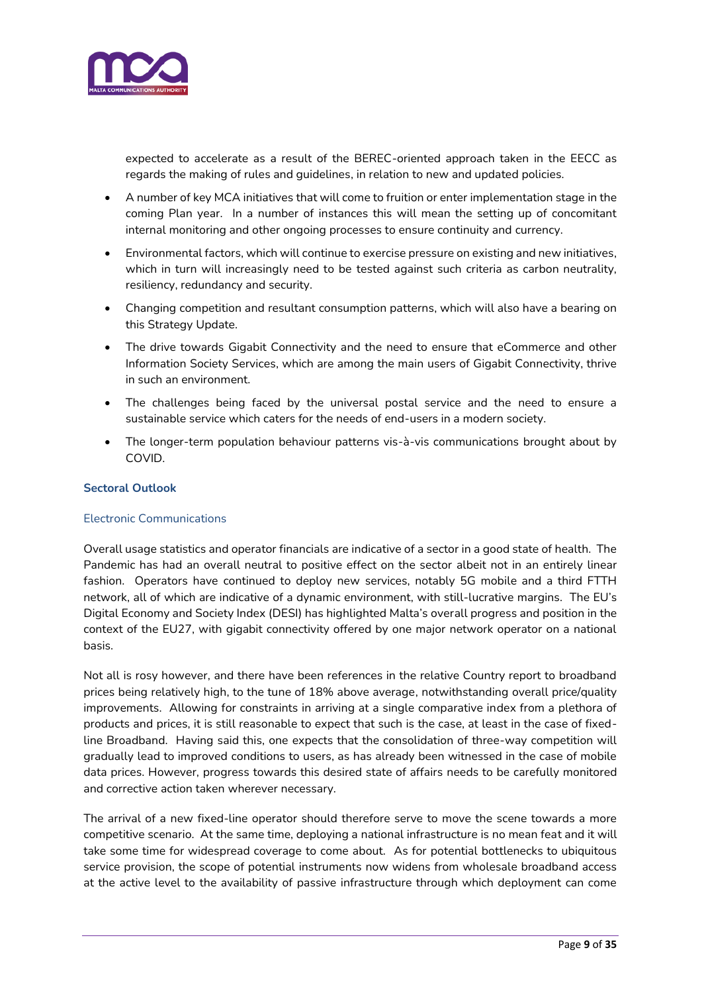

expected to accelerate as a result of the BEREC-oriented approach taken in the EECC as regards the making of rules and guidelines, in relation to new and updated policies.

- A number of key MCA initiatives that will come to fruition or enter implementation stage in the coming Plan year. In a number of instances this will mean the setting up of concomitant internal monitoring and other ongoing processes to ensure continuity and currency.
- Environmental factors, which will continue to exercise pressure on existing and new initiatives, which in turn will increasingly need to be tested against such criteria as carbon neutrality, resiliency, redundancy and security.
- Changing competition and resultant consumption patterns, which will also have a bearing on this Strategy Update.
- The drive towards Gigabit Connectivity and the need to ensure that eCommerce and other Information Society Services, which are among the main users of Gigabit Connectivity, thrive in such an environment.
- The challenges being faced by the universal postal service and the need to ensure a sustainable service which caters for the needs of end-users in a modern society.
- The longer-term population behaviour patterns vis-à-vis communications brought about by COVID.

#### **Sectoral Outlook**

#### Electronic Communications

Overall usage statistics and operator financials are indicative of a sector in a good state of health. The Pandemic has had an overall neutral to positive effect on the sector albeit not in an entirely linear fashion. Operators have continued to deploy new services, notably 5G mobile and a third FTTH network, all of which are indicative of a dynamic environment, with still-lucrative margins. The EU's Digital Economy and Society Index (DESI) has highlighted Malta's overall progress and position in the context of the EU27, with gigabit connectivity offered by one major network operator on a national basis.

Not all is rosy however, and there have been references in the relative Country report to broadband prices being relatively high, to the tune of 18% above average, notwithstanding overall price/quality improvements. Allowing for constraints in arriving at a single comparative index from a plethora of products and prices, it is still reasonable to expect that such is the case, at least in the case of fixedline Broadband. Having said this, one expects that the consolidation of three-way competition will gradually lead to improved conditions to users, as has already been witnessed in the case of mobile data prices. However, progress towards this desired state of affairs needs to be carefully monitored and corrective action taken wherever necessary.

The arrival of a new fixed-line operator should therefore serve to move the scene towards a more competitive scenario. At the same time, deploying a national infrastructure is no mean feat and it will take some time for widespread coverage to come about. As for potential bottlenecks to ubiquitous service provision, the scope of potential instruments now widens from wholesale broadband access at the active level to the availability of passive infrastructure through which deployment can come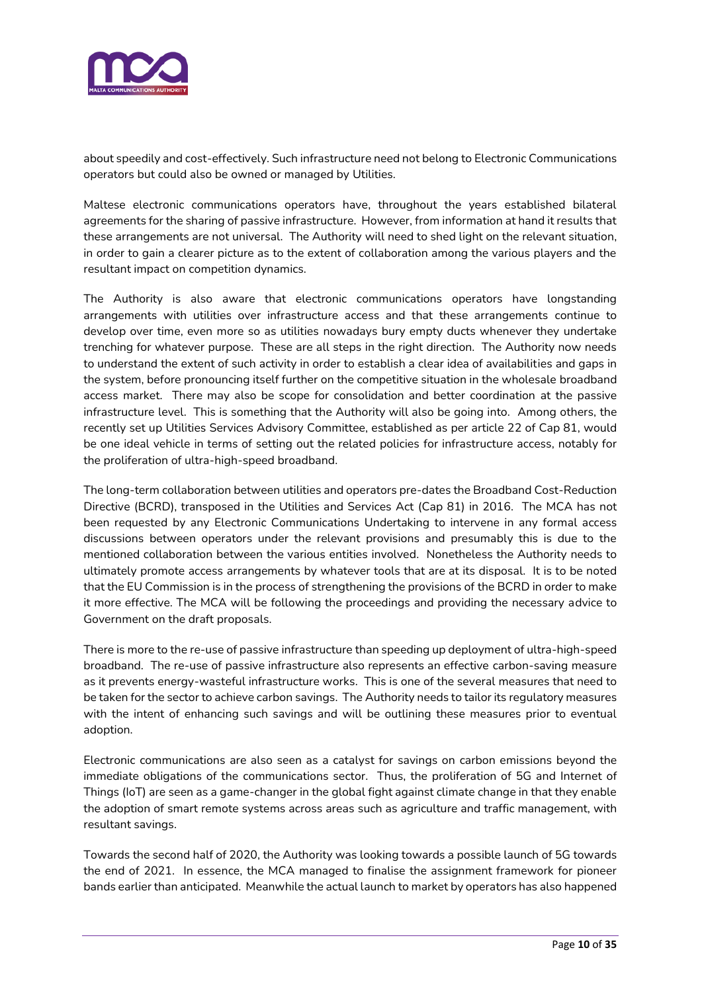

about speedily and cost-effectively. Such infrastructure need not belong to Electronic Communications operators but could also be owned or managed by Utilities.

Maltese electronic communications operators have, throughout the years established bilateral agreements for the sharing of passive infrastructure. However, from information at hand it results that these arrangements are not universal. The Authority will need to shed light on the relevant situation, in order to gain a clearer picture as to the extent of collaboration among the various players and the resultant impact on competition dynamics.

The Authority is also aware that electronic communications operators have longstanding arrangements with utilities over infrastructure access and that these arrangements continue to develop over time, even more so as utilities nowadays bury empty ducts whenever they undertake trenching for whatever purpose. These are all steps in the right direction. The Authority now needs to understand the extent of such activity in order to establish a clear idea of availabilities and gaps in the system, before pronouncing itself further on the competitive situation in the wholesale broadband access market. There may also be scope for consolidation and better coordination at the passive infrastructure level. This is something that the Authority will also be going into. Among others, the recently set up Utilities Services Advisory Committee, established as per article 22 of Cap 81, would be one ideal vehicle in terms of setting out the related policies for infrastructure access, notably for the proliferation of ultra-high-speed broadband.

The long-term collaboration between utilities and operators pre-dates the Broadband Cost-Reduction Directive (BCRD), transposed in the Utilities and Services Act (Cap 81) in 2016. The MCA has not been requested by any Electronic Communications Undertaking to intervene in any formal access discussions between operators under the relevant provisions and presumably this is due to the mentioned collaboration between the various entities involved. Nonetheless the Authority needs to ultimately promote access arrangements by whatever tools that are at its disposal. It is to be noted that the EU Commission is in the process of strengthening the provisions of the BCRD in order to make it more effective. The MCA will be following the proceedings and providing the necessary advice to Government on the draft proposals.

There is more to the re-use of passive infrastructure than speeding up deployment of ultra-high-speed broadband. The re-use of passive infrastructure also represents an effective carbon-saving measure as it prevents energy-wasteful infrastructure works. This is one of the several measures that need to be taken for the sector to achieve carbon savings. The Authority needs to tailor its regulatory measures with the intent of enhancing such savings and will be outlining these measures prior to eventual adoption.

Electronic communications are also seen as a catalyst for savings on carbon emissions beyond the immediate obligations of the communications sector. Thus, the proliferation of 5G and Internet of Things (IoT) are seen as a game-changer in the global fight against climate change in that they enable the adoption of smart remote systems across areas such as agriculture and traffic management, with resultant savings.

Towards the second half of 2020, the Authority was looking towards a possible launch of 5G towards the end of 2021. In essence, the MCA managed to finalise the assignment framework for pioneer bands earlier than anticipated. Meanwhile the actual launch to market by operators has also happened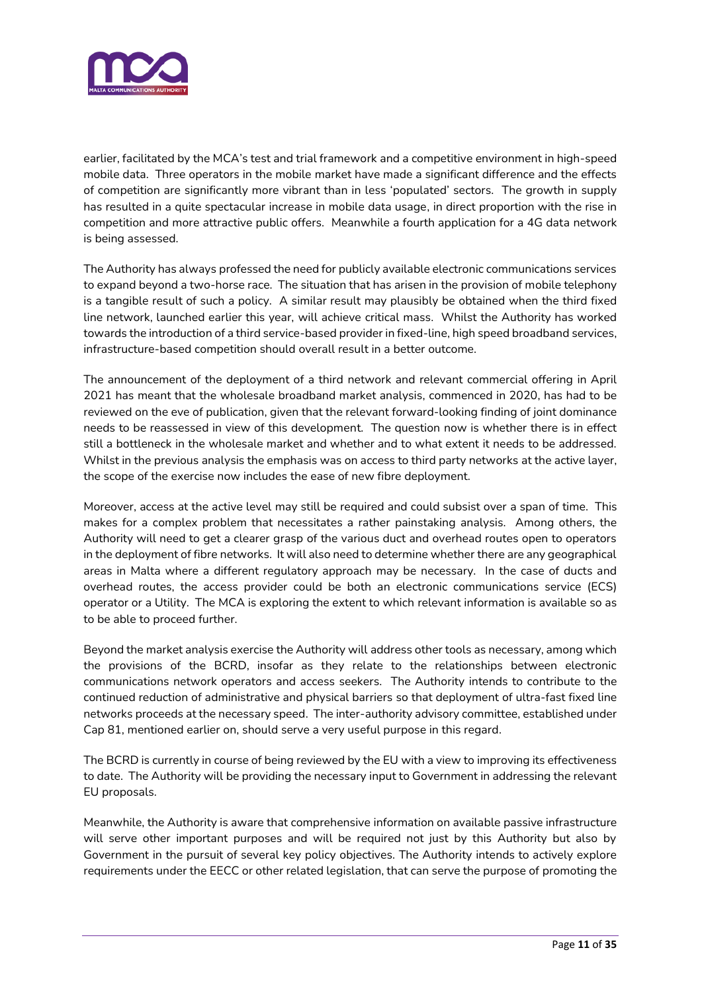

earlier, facilitated by the MCA's test and trial framework and a competitive environment in high-speed mobile data. Three operators in the mobile market have made a significant difference and the effects of competition are significantly more vibrant than in less 'populated' sectors. The growth in supply has resulted in a quite spectacular increase in mobile data usage, in direct proportion with the rise in competition and more attractive public offers. Meanwhile a fourth application for a 4G data network is being assessed.

The Authority has always professed the need for publicly available electronic communications services to expand beyond a two-horse race. The situation that has arisen in the provision of mobile telephony is a tangible result of such a policy. A similar result may plausibly be obtained when the third fixed line network, launched earlier this year, will achieve critical mass. Whilst the Authority has worked towards the introduction of a third service-based provider in fixed-line, high speed broadband services, infrastructure-based competition should overall result in a better outcome.

The announcement of the deployment of a third network and relevant commercial offering in April 2021 has meant that the wholesale broadband market analysis, commenced in 2020, has had to be reviewed on the eve of publication, given that the relevant forward-looking finding of joint dominance needs to be reassessed in view of this development. The question now is whether there is in effect still a bottleneck in the wholesale market and whether and to what extent it needs to be addressed. Whilst in the previous analysis the emphasis was on access to third party networks at the active layer, the scope of the exercise now includes the ease of new fibre deployment.

Moreover, access at the active level may still be required and could subsist over a span of time. This makes for a complex problem that necessitates a rather painstaking analysis. Among others, the Authority will need to get a clearer grasp of the various duct and overhead routes open to operators in the deployment of fibre networks. It will also need to determine whether there are any geographical areas in Malta where a different regulatory approach may be necessary. In the case of ducts and overhead routes, the access provider could be both an electronic communications service (ECS) operator or a Utility. The MCA is exploring the extent to which relevant information is available so as to be able to proceed further.

Beyond the market analysis exercise the Authority will address other tools as necessary, among which the provisions of the BCRD, insofar as they relate to the relationships between electronic communications network operators and access seekers. The Authority intends to contribute to the continued reduction of administrative and physical barriers so that deployment of ultra-fast fixed line networks proceeds at the necessary speed. The inter-authority advisory committee, established under Cap 81, mentioned earlier on, should serve a very useful purpose in this regard.

The BCRD is currently in course of being reviewed by the EU with a view to improving its effectiveness to date. The Authority will be providing the necessary input to Government in addressing the relevant EU proposals.

Meanwhile, the Authority is aware that comprehensive information on available passive infrastructure will serve other important purposes and will be required not just by this Authority but also by Government in the pursuit of several key policy objectives. The Authority intends to actively explore requirements under the EECC or other related legislation, that can serve the purpose of promoting the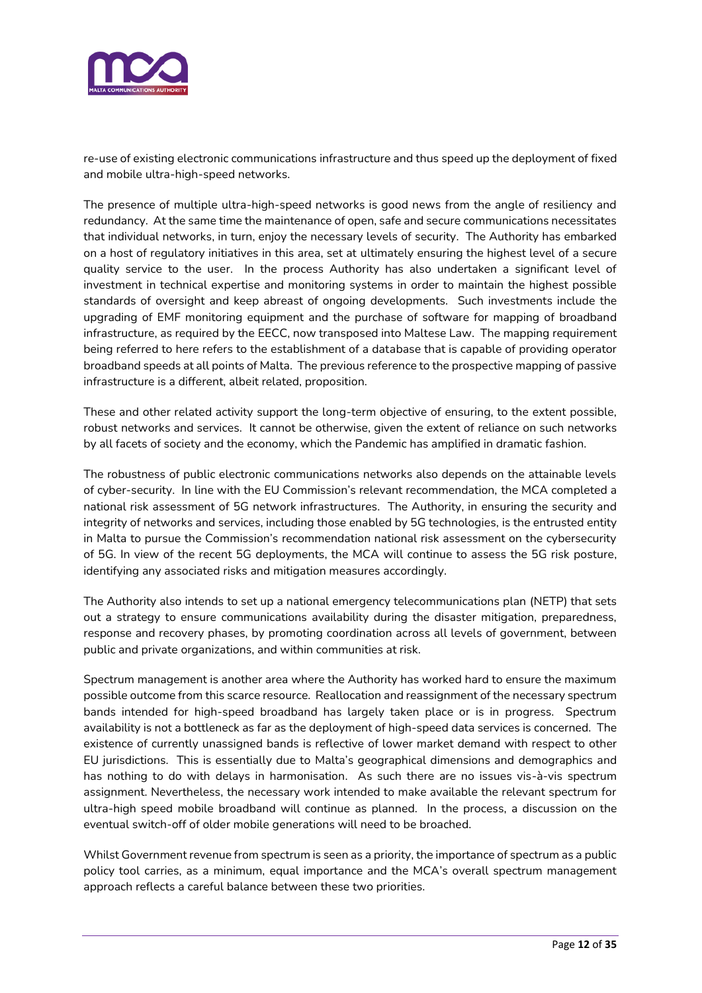

re-use of existing electronic communications infrastructure and thus speed up the deployment of fixed and mobile ultra-high-speed networks.

The presence of multiple ultra-high-speed networks is good news from the angle of resiliency and redundancy. At the same time the maintenance of open, safe and secure communications necessitates that individual networks, in turn, enjoy the necessary levels of security. The Authority has embarked on a host of regulatory initiatives in this area, set at ultimately ensuring the highest level of a secure quality service to the user. In the process Authority has also undertaken a significant level of investment in technical expertise and monitoring systems in order to maintain the highest possible standards of oversight and keep abreast of ongoing developments. Such investments include the upgrading of EMF monitoring equipment and the purchase of software for mapping of broadband infrastructure, as required by the EECC, now transposed into Maltese Law. The mapping requirement being referred to here refers to the establishment of a database that is capable of providing operator broadband speeds at all points of Malta. The previous reference to the prospective mapping of passive infrastructure is a different, albeit related, proposition.

These and other related activity support the long-term objective of ensuring, to the extent possible, robust networks and services. It cannot be otherwise, given the extent of reliance on such networks by all facets of society and the economy, which the Pandemic has amplified in dramatic fashion.

The robustness of public electronic communications networks also depends on the attainable levels of cyber-security. In line with the EU Commission's relevant recommendation, the MCA completed a national risk assessment of 5G network infrastructures. The Authority, in ensuring the security and integrity of networks and services, including those enabled by 5G technologies, is the entrusted entity in Malta to pursue the Commission's recommendation national risk assessment on the cybersecurity of 5G. In view of the recent 5G deployments, the MCA will continue to assess the 5G risk posture, identifying any associated risks and mitigation measures accordingly.

The Authority also intends to set up a national emergency telecommunications plan (NETP) that sets out a strategy to ensure communications availability during the disaster mitigation, preparedness, response and recovery phases, by promoting coordination across all levels of government, between public and private organizations, and within communities at risk.

Spectrum management is another area where the Authority has worked hard to ensure the maximum possible outcome from this scarce resource. Reallocation and reassignment of the necessary spectrum bands intended for high-speed broadband has largely taken place or is in progress. Spectrum availability is not a bottleneck as far as the deployment of high-speed data services is concerned. The existence of currently unassigned bands is reflective of lower market demand with respect to other EU jurisdictions. This is essentially due to Malta's geographical dimensions and demographics and has nothing to do with delays in harmonisation. As such there are no issues vis-à-vis spectrum assignment. Nevertheless, the necessary work intended to make available the relevant spectrum for ultra-high speed mobile broadband will continue as planned. In the process, a discussion on the eventual switch-off of older mobile generations will need to be broached.

Whilst Government revenue from spectrum is seen as a priority, the importance of spectrum as a public policy tool carries, as a minimum, equal importance and the MCA's overall spectrum management approach reflects a careful balance between these two priorities.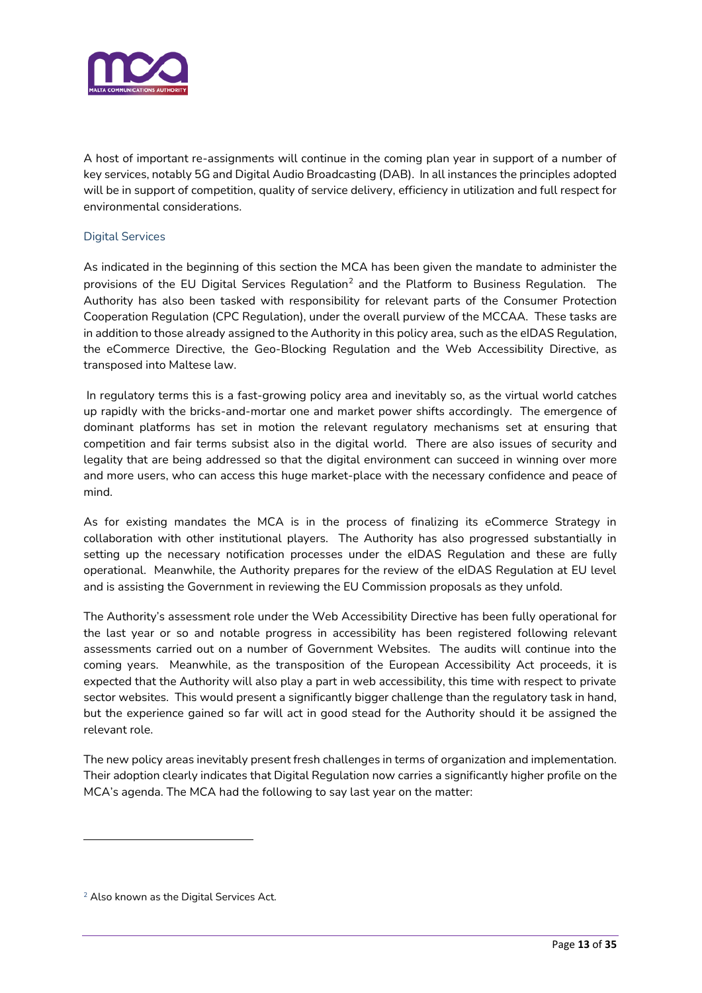

A host of important re-assignments will continue in the coming plan year in support of a number of key services, notably 5G and Digital Audio Broadcasting (DAB). In all instances the principles adopted will be in support of competition, quality of service delivery, efficiency in utilization and full respect for environmental considerations.

#### Digital Services

As indicated in the beginning of this section the MCA has been given the mandate to administer the provisions of the EU Digital Services Regulation $^2$  and the Platform to Business Regulation. The Authority has also been tasked with responsibility for relevant parts of the Consumer Protection Cooperation Regulation (CPC Regulation), under the overall purview of the MCCAA. These tasks are in addition to those already assigned to the Authority in this policy area, such as the eIDAS Regulation, the eCommerce Directive, the Geo-Blocking Regulation and the Web Accessibility Directive, as transposed into Maltese law.

In regulatory terms this is a fast-growing policy area and inevitably so, as the virtual world catches up rapidly with the bricks-and-mortar one and market power shifts accordingly. The emergence of dominant platforms has set in motion the relevant regulatory mechanisms set at ensuring that competition and fair terms subsist also in the digital world. There are also issues of security and legality that are being addressed so that the digital environment can succeed in winning over more and more users, who can access this huge market-place with the necessary confidence and peace of mind.

As for existing mandates the MCA is in the process of finalizing its eCommerce Strategy in collaboration with other institutional players. The Authority has also progressed substantially in setting up the necessary notification processes under the eIDAS Regulation and these are fully operational. Meanwhile, the Authority prepares for the review of the eIDAS Regulation at EU level and is assisting the Government in reviewing the EU Commission proposals as they unfold.

The Authority's assessment role under the Web Accessibility Directive has been fully operational for the last year or so and notable progress in accessibility has been registered following relevant assessments carried out on a number of Government Websites. The audits will continue into the coming years. Meanwhile, as the transposition of the European Accessibility Act proceeds, it is expected that the Authority will also play a part in web accessibility, this time with respect to private sector websites. This would present a significantly bigger challenge than the regulatory task in hand, but the experience gained so far will act in good stead for the Authority should it be assigned the relevant role.

The new policy areas inevitably present fresh challenges in terms of organization and implementation. Their adoption clearly indicates that Digital Regulation now carries a significantly higher profile on the MCA's agenda. The MCA had the following to say last year on the matter:

<sup>&</sup>lt;sup>2</sup> Also known as the Digital Services Act.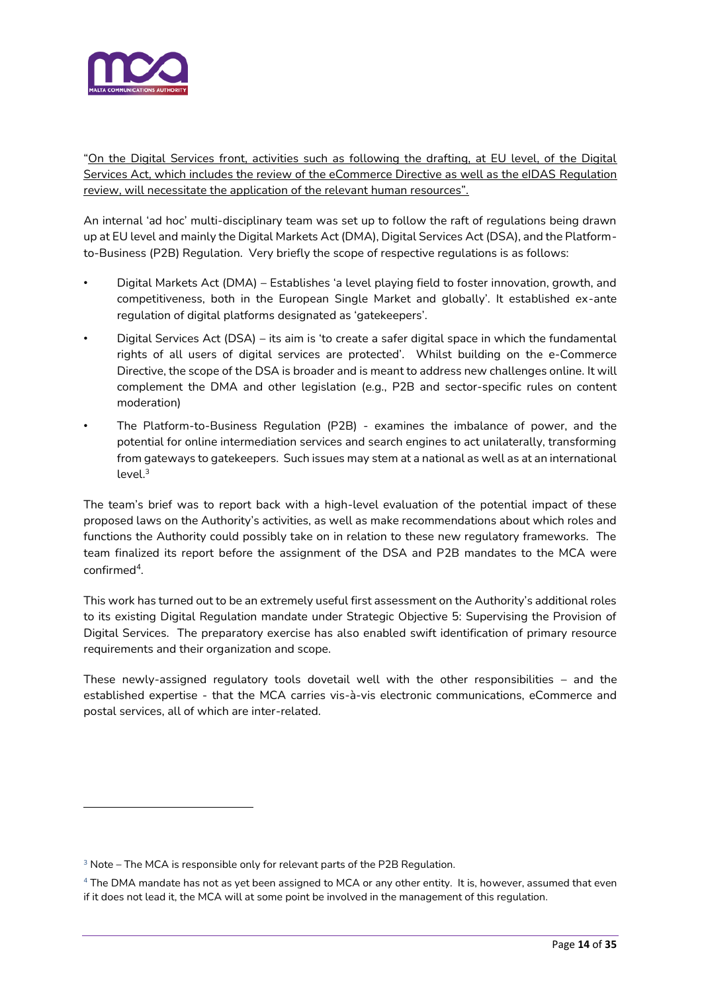

"On the Digital Services front, activities such as following the drafting, at EU level, of the Digital Services Act, which includes the review of the eCommerce Directive as well as the eIDAS Regulation review, will necessitate the application of the relevant human resources".

An internal 'ad hoc' multi-disciplinary team was set up to follow the raft of regulations being drawn up at EU level and mainly the Digital Markets Act (DMA), Digital Services Act (DSA), and the Platformto-Business (P2B) Regulation. Very briefly the scope of respective regulations is as follows:

- Digital Markets Act (DMA) Establishes 'a level playing field to foster innovation, growth, and competitiveness, both in the European Single Market and globally'. It established ex-ante regulation of digital platforms designated as 'gatekeepers'.
- Digital Services Act (DSA) its aim is 'to create a safer digital space in which the fundamental rights of all users of digital services are protected'. Whilst building on the e-Commerce Directive, the scope of the DSA is broader and is meant to address new challenges online. It will complement the DMA and other legislation (e.g., P2B and sector-specific rules on content moderation)
- The Platform-to-Business Regulation (P2B) examines the imbalance of power, and the potential for online intermediation services and search engines to act unilaterally, transforming from gateways to gatekeepers. Such issues may stem at a national as well as at an international  $level<sup>3</sup>$

The team's brief was to report back with a high-level evaluation of the potential impact of these proposed laws on the Authority's activities, as well as make recommendations about which roles and functions the Authority could possibly take on in relation to these new regulatory frameworks. The team finalized its report before the assignment of the DSA and P2B mandates to the MCA were confirmed<sup>4</sup>.

This work has turned out to be an extremely useful first assessment on the Authority's additional roles to its existing Digital Regulation mandate under Strategic Objective 5: Supervising the Provision of Digital Services. The preparatory exercise has also enabled swift identification of primary resource requirements and their organization and scope.

These newly-assigned regulatory tools dovetail well with the other responsibilities – and the established expertise - that the MCA carries vis-à-vis electronic communications, eCommerce and postal services, all of which are inter-related.

<sup>&</sup>lt;sup>3</sup> Note – The MCA is responsible only for relevant parts of the P2B Regulation.

<sup>4</sup> The DMA mandate has not as yet been assigned to MCA or any other entity. It is, however, assumed that even if it does not lead it, the MCA will at some point be involved in the management of this regulation.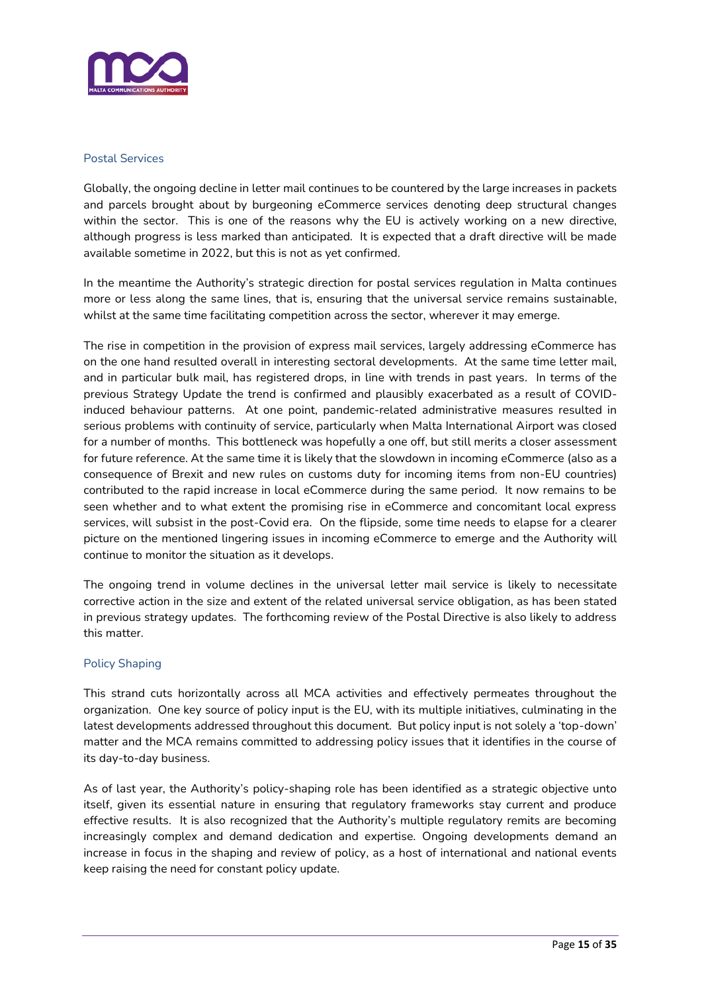

#### Postal Services

Globally, the ongoing decline in letter mail continues to be countered by the large increases in packets and parcels brought about by burgeoning eCommerce services denoting deep structural changes within the sector. This is one of the reasons why the EU is actively working on a new directive, although progress is less marked than anticipated. It is expected that a draft directive will be made available sometime in 2022, but this is not as yet confirmed.

In the meantime the Authority's strategic direction for postal services regulation in Malta continues more or less along the same lines, that is, ensuring that the universal service remains sustainable, whilst at the same time facilitating competition across the sector, wherever it may emerge.

The rise in competition in the provision of express mail services, largely addressing eCommerce has on the one hand resulted overall in interesting sectoral developments. At the same time letter mail, and in particular bulk mail, has registered drops, in line with trends in past years. In terms of the previous Strategy Update the trend is confirmed and plausibly exacerbated as a result of COVIDinduced behaviour patterns. At one point, pandemic-related administrative measures resulted in serious problems with continuity of service, particularly when Malta International Airport was closed for a number of months. This bottleneck was hopefully a one off, but still merits a closer assessment for future reference. At the same time it is likely that the slowdown in incoming eCommerce (also as a consequence of Brexit and new rules on customs duty for incoming items from non-EU countries) contributed to the rapid increase in local eCommerce during the same period. It now remains to be seen whether and to what extent the promising rise in eCommerce and concomitant local express services, will subsist in the post-Covid era. On the flipside, some time needs to elapse for a clearer picture on the mentioned lingering issues in incoming eCommerce to emerge and the Authority will continue to monitor the situation as it develops.

The ongoing trend in volume declines in the universal letter mail service is likely to necessitate corrective action in the size and extent of the related universal service obligation, as has been stated in previous strategy updates. The forthcoming review of the Postal Directive is also likely to address this matter.

#### Policy Shaping

This strand cuts horizontally across all MCA activities and effectively permeates throughout the organization. One key source of policy input is the EU, with its multiple initiatives, culminating in the latest developments addressed throughout this document. But policy input is not solely a 'top-down' matter and the MCA remains committed to addressing policy issues that it identifies in the course of its day-to-day business.

As of last year, the Authority's policy-shaping role has been identified as a strategic objective unto itself, given its essential nature in ensuring that regulatory frameworks stay current and produce effective results. It is also recognized that the Authority's multiple regulatory remits are becoming increasingly complex and demand dedication and expertise. Ongoing developments demand an increase in focus in the shaping and review of policy, as a host of international and national events keep raising the need for constant policy update.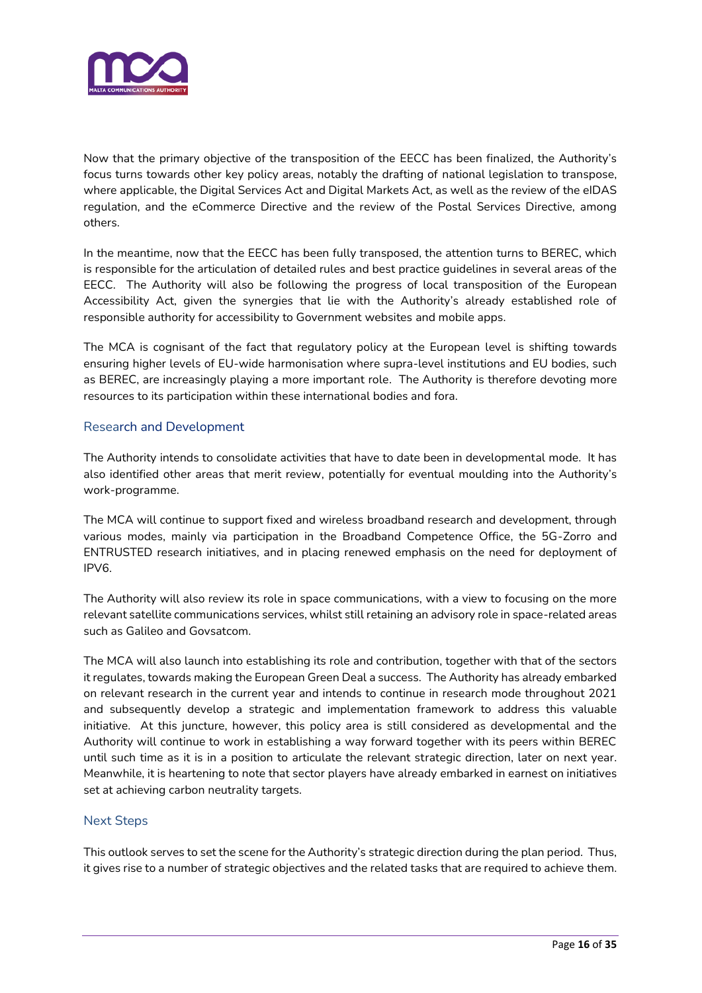

Now that the primary objective of the transposition of the EECC has been finalized, the Authority's focus turns towards other key policy areas, notably the drafting of national legislation to transpose, where applicable, the Digital Services Act and Digital Markets Act, as well as the review of the eIDAS regulation, and the eCommerce Directive and the review of the Postal Services Directive, among others.

In the meantime, now that the EECC has been fully transposed, the attention turns to BEREC, which is responsible for the articulation of detailed rules and best practice guidelines in several areas of the EECC. The Authority will also be following the progress of local transposition of the European Accessibility Act, given the synergies that lie with the Authority's already established role of responsible authority for accessibility to Government websites and mobile apps.

The MCA is cognisant of the fact that regulatory policy at the European level is shifting towards ensuring higher levels of EU-wide harmonisation where supra-level institutions and EU bodies, such as BEREC, are increasingly playing a more important role. The Authority is therefore devoting more resources to its participation within these international bodies and fora.

#### Research and Development

The Authority intends to consolidate activities that have to date been in developmental mode. It has also identified other areas that merit review, potentially for eventual moulding into the Authority's work-programme.

The MCA will continue to support fixed and wireless broadband research and development, through various modes, mainly via participation in the Broadband Competence Office, the 5G-Zorro and ENTRUSTED research initiatives, and in placing renewed emphasis on the need for deployment of IPV6.

The Authority will also review its role in space communications, with a view to focusing on the more relevant satellite communications services, whilst still retaining an advisory role in space-related areas such as Galileo and Govsatcom.

The MCA will also launch into establishing its role and contribution, together with that of the sectors it regulates, towards making the European Green Deal a success. The Authority has already embarked on relevant research in the current year and intends to continue in research mode throughout 2021 and subsequently develop a strategic and implementation framework to address this valuable initiative. At this juncture, however, this policy area is still considered as developmental and the Authority will continue to work in establishing a way forward together with its peers within BEREC until such time as it is in a position to articulate the relevant strategic direction, later on next year. Meanwhile, it is heartening to note that sector players have already embarked in earnest on initiatives set at achieving carbon neutrality targets.

#### Next Steps

This outlook serves to set the scene for the Authority's strategic direction during the plan period. Thus, it gives rise to a number of strategic objectives and the related tasks that are required to achieve them.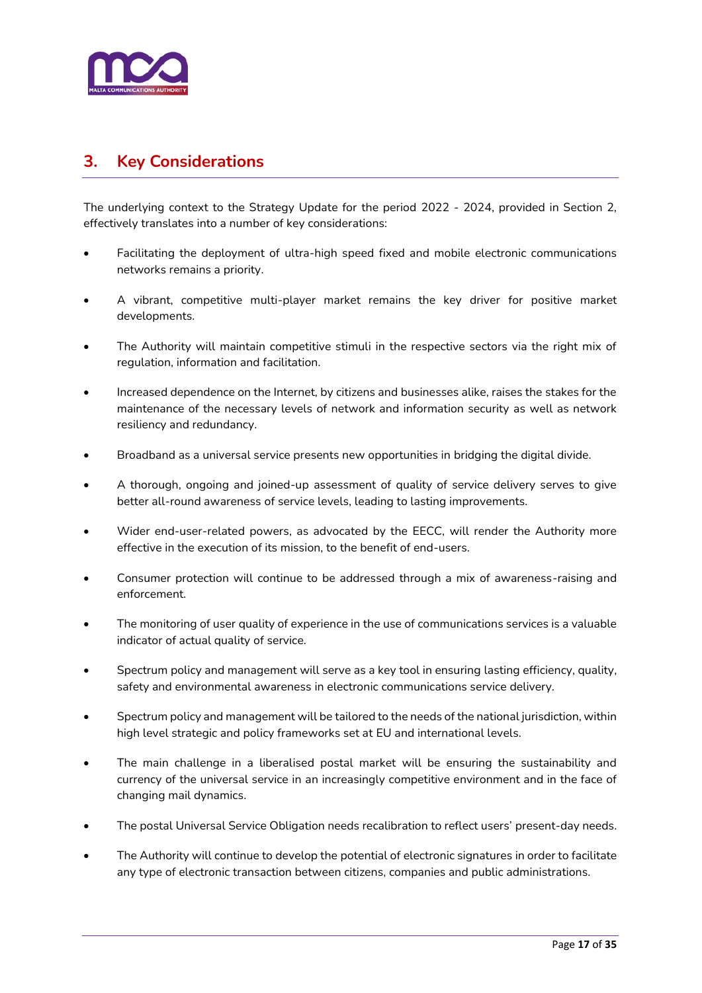

# <span id="page-16-0"></span>**3. Key Considerations**

The underlying context to the Strategy Update for the period 2022 - 2024, provided in Section 2, effectively translates into a number of key considerations:

- Facilitating the deployment of ultra-high speed fixed and mobile electronic communications networks remains a priority.
- A vibrant, competitive multi-player market remains the key driver for positive market developments.
- The Authority will maintain competitive stimuli in the respective sectors via the right mix of regulation, information and facilitation.
- Increased dependence on the Internet, by citizens and businesses alike, raises the stakes for the maintenance of the necessary levels of network and information security as well as network resiliency and redundancy.
- Broadband as a universal service presents new opportunities in bridging the digital divide.
- A thorough, ongoing and joined-up assessment of quality of service delivery serves to give better all-round awareness of service levels, leading to lasting improvements.
- Wider end-user-related powers, as advocated by the EECC, will render the Authority more effective in the execution of its mission, to the benefit of end-users.
- Consumer protection will continue to be addressed through a mix of awareness-raising and enforcement.
- The monitoring of user quality of experience in the use of communications services is a valuable indicator of actual quality of service.
- Spectrum policy and management will serve as a key tool in ensuring lasting efficiency, quality, safety and environmental awareness in electronic communications service delivery.
- Spectrum policy and management will be tailored to the needs of the national jurisdiction, within high level strategic and policy frameworks set at EU and international levels.
- The main challenge in a liberalised postal market will be ensuring the sustainability and currency of the universal service in an increasingly competitive environment and in the face of changing mail dynamics.
- The postal Universal Service Obligation needs recalibration to reflect users' present-day needs.
- The Authority will continue to develop the potential of electronic signatures in order to facilitate any type of electronic transaction between citizens, companies and public administrations.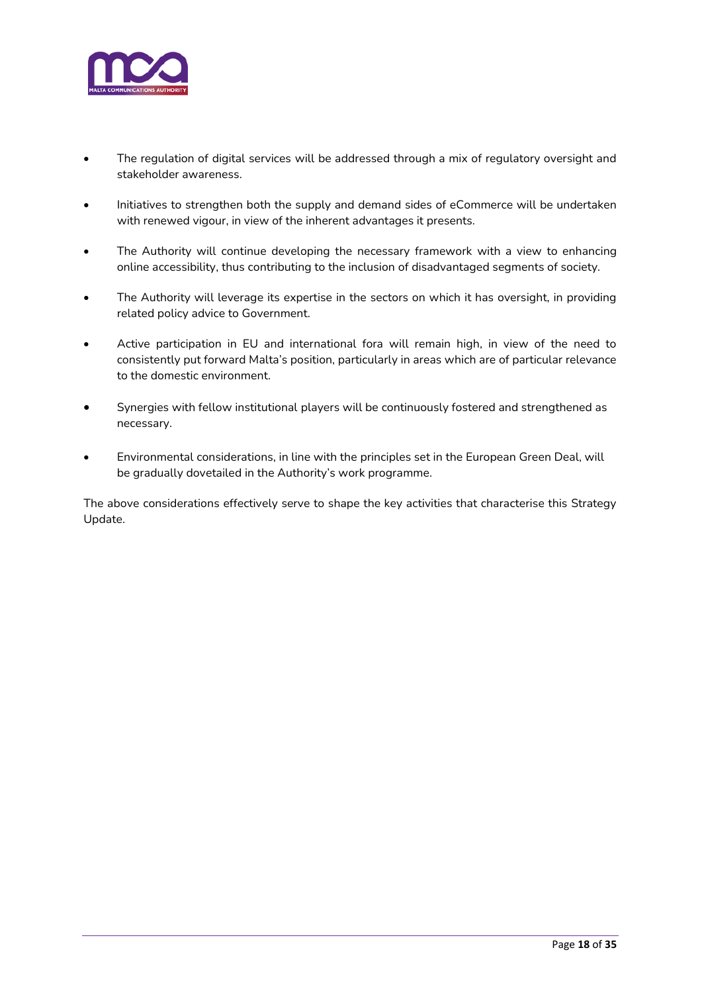

- The regulation of digital services will be addressed through a mix of regulatory oversight and stakeholder awareness.
- Initiatives to strengthen both the supply and demand sides of eCommerce will be undertaken with renewed vigour, in view of the inherent advantages it presents.
- The Authority will continue developing the necessary framework with a view to enhancing online accessibility, thus contributing to the inclusion of disadvantaged segments of society.
- The Authority will leverage its expertise in the sectors on which it has oversight, in providing related policy advice to Government.
- Active participation in EU and international fora will remain high, in view of the need to consistently put forward Malta's position, particularly in areas which are of particular relevance to the domestic environment.
- Synergies with fellow institutional players will be continuously fostered and strengthened as necessary.
- Environmental considerations, in line with the principles set in the European Green Deal, will be gradually dovetailed in the Authority's work programme.

The above considerations effectively serve to shape the key activities that characterise this Strategy Update.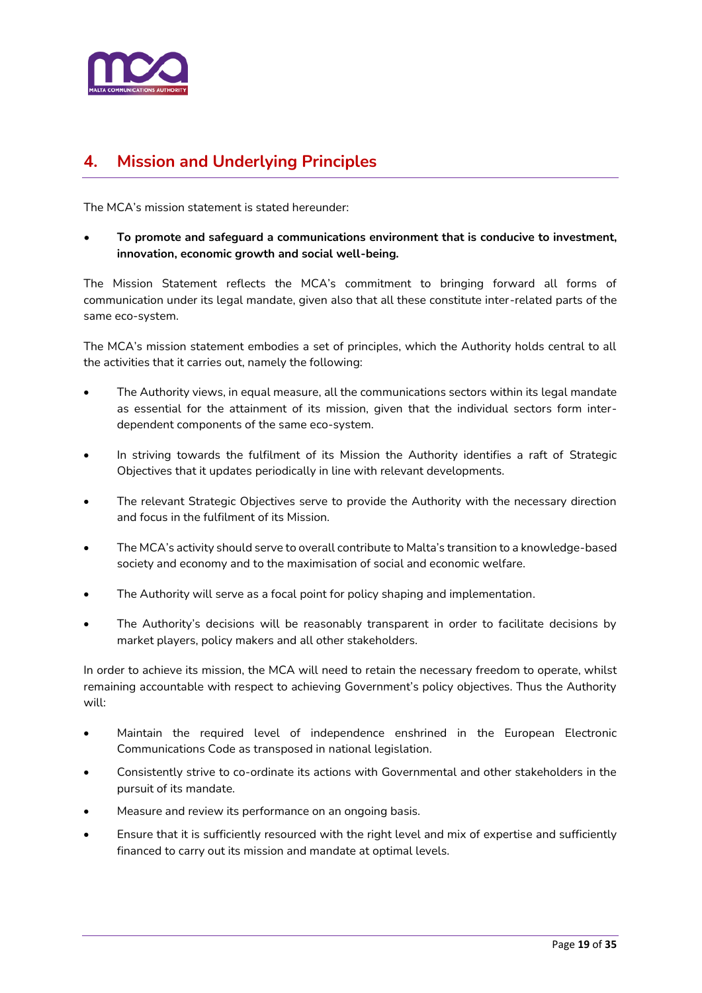

# <span id="page-18-0"></span>**4. Mission and Underlying Principles**

The MCA's mission statement is stated hereunder:

• **To promote and safeguard a communications environment that is conducive to investment, innovation, economic growth and social well-being.**

The Mission Statement reflects the MCA's commitment to bringing forward all forms of communication under its legal mandate, given also that all these constitute inter-related parts of the same eco-system.

The MCA's mission statement embodies a set of principles, which the Authority holds central to all the activities that it carries out, namely the following:

- The Authority views, in equal measure, all the communications sectors within its legal mandate as essential for the attainment of its mission, given that the individual sectors form interdependent components of the same eco-system.
- In striving towards the fulfilment of its Mission the Authority identifies a raft of Strategic Objectives that it updates periodically in line with relevant developments.
- The relevant Strategic Objectives serve to provide the Authority with the necessary direction and focus in the fulfilment of its Mission.
- The MCA's activity should serve to overall contribute to Malta's transition to a knowledge-based society and economy and to the maximisation of social and economic welfare.
- The Authority will serve as a focal point for policy shaping and implementation.
- The Authority's decisions will be reasonably transparent in order to facilitate decisions by market players, policy makers and all other stakeholders.

In order to achieve its mission, the MCA will need to retain the necessary freedom to operate, whilst remaining accountable with respect to achieving Government's policy objectives. Thus the Authority will:

- Maintain the required level of independence enshrined in the European Electronic Communications Code as transposed in national legislation.
- Consistently strive to co-ordinate its actions with Governmental and other stakeholders in the pursuit of its mandate.
- Measure and review its performance on an ongoing basis.
- Ensure that it is sufficiently resourced with the right level and mix of expertise and sufficiently financed to carry out its mission and mandate at optimal levels.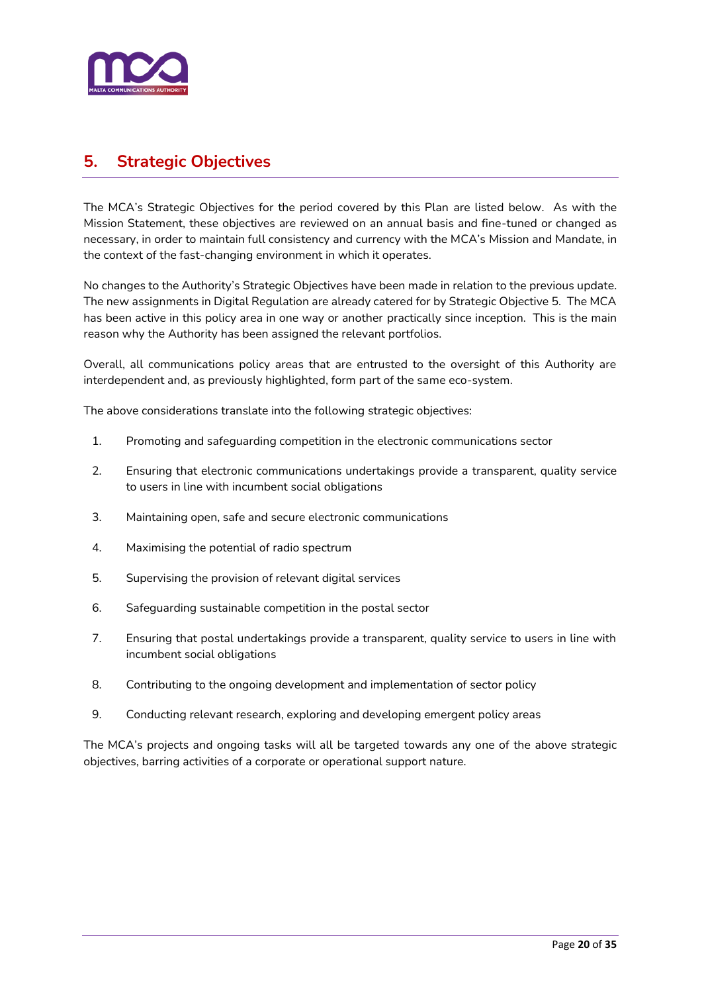

<span id="page-19-0"></span>The MCA's Strategic Objectives for the period covered by this Plan are listed below. As with the Mission Statement, these objectives are reviewed on an annual basis and fine-tuned or changed as necessary, in order to maintain full consistency and currency with the MCA's Mission and Mandate, in the context of the fast-changing environment in which it operates.

No changes to the Authority's Strategic Objectives have been made in relation to the previous update. The new assignments in Digital Regulation are already catered for by Strategic Objective 5. The MCA has been active in this policy area in one way or another practically since inception. This is the main reason why the Authority has been assigned the relevant portfolios.

Overall, all communications policy areas that are entrusted to the oversight of this Authority are interdependent and, as previously highlighted, form part of the same eco-system.

The above considerations translate into the following strategic objectives:

- 1. Promoting and safeguarding competition in the electronic communications sector
- 2. Ensuring that electronic communications undertakings provide a transparent, quality service to users in line with incumbent social obligations
- 3. Maintaining open, safe and secure electronic communications
- 4. Maximising the potential of radio spectrum
- 5. Supervising the provision of relevant digital services
- 6. Safeguarding sustainable competition in the postal sector
- 7. Ensuring that postal undertakings provide a transparent, quality service to users in line with incumbent social obligations
- 8. Contributing to the ongoing development and implementation of sector policy
- 9. Conducting relevant research, exploring and developing emergent policy areas

The MCA's projects and ongoing tasks will all be targeted towards any one of the above strategic objectives, barring activities of a corporate or operational support nature.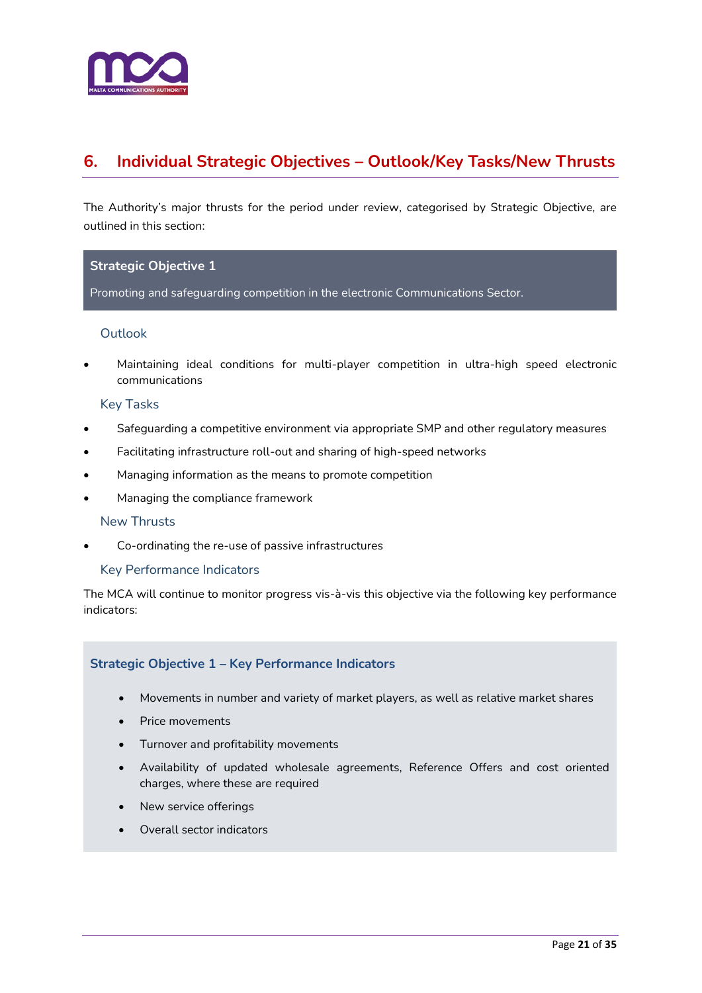

# <span id="page-20-0"></span>**6. Individual Strategic Objectives – Outlook/Key Tasks/New Thrusts**

The Authority's major thrusts for the period under review, categorised by Strategic Objective, are outlined in this section:

#### **Strategic Objective 1**

Promoting and safeguarding competition in the electronic Communications Sector.

#### Outlook

• Maintaining ideal conditions for multi-player competition in ultra-high speed electronic communications

#### Key Tasks

- Safeguarding a competitive environment via appropriate SMP and other regulatory measures
- Facilitating infrastructure roll-out and sharing of high-speed networks
- Managing information as the means to promote competition
- Managing the compliance framework

#### New Thrusts

• Co-ordinating the re-use of passive infrastructures

#### Key Performance Indicators

The MCA will continue to monitor progress vis-à-vis this objective via the following key performance indicators:

#### **Strategic Objective 1 – Key Performance Indicators**

- Movements in number and variety of market players, as well as relative market shares
- Price movements
- Turnover and profitability movements
- Availability of updated wholesale agreements, Reference Offers and cost oriented charges, where these are required
- New service offerings
- Overall sector indicators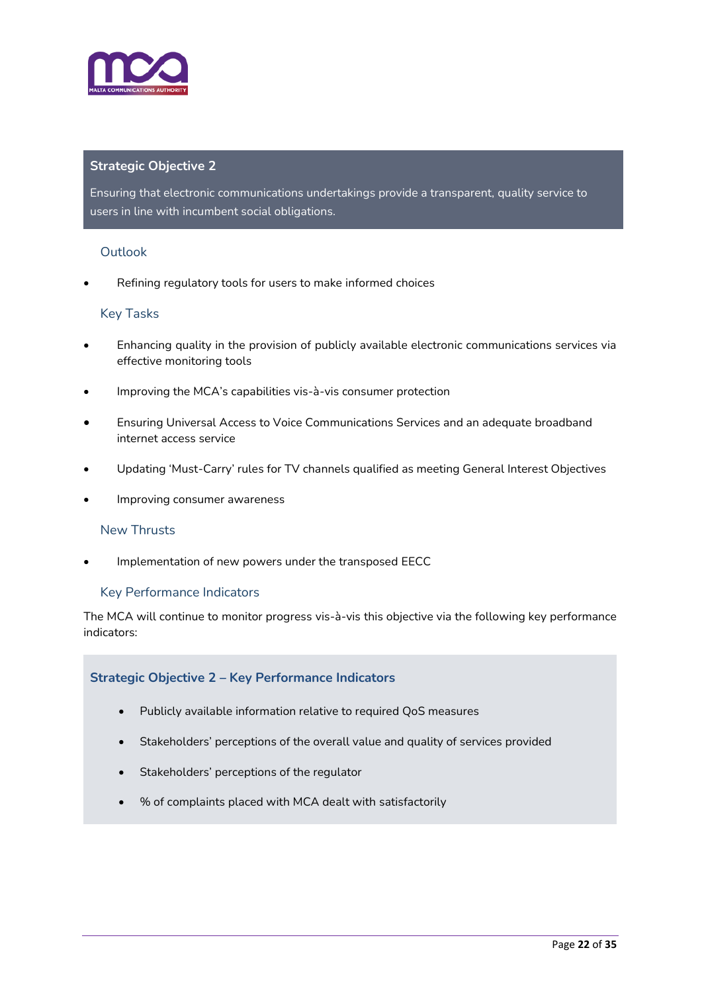

Ensuring that electronic communications undertakings provide a transparent, quality service to users in line with incumbent social obligations.

#### **Outlook**

Refining regulatory tools for users to make informed choices

#### Key Tasks

- Enhancing quality in the provision of publicly available electronic communications services via effective monitoring tools
- Improving the MCA's capabilities vis-à-vis consumer protection
- Ensuring Universal Access to Voice Communications Services and an adequate broadband internet access service
- Updating 'Must-Carry' rules for TV channels qualified as meeting General Interest Objectives
- Improving consumer awareness

#### New Thrusts

• Implementation of new powers under the transposed EECC

#### Key Performance Indicators

The MCA will continue to monitor progress vis-à-vis this objective via the following key performance indicators:

#### **Strategic Objective 2 – Key Performance Indicators**

- Publicly available information relative to required QoS measures
- Stakeholders' perceptions of the overall value and quality of services provided
- Stakeholders' perceptions of the regulator
- % of complaints placed with MCA dealt with satisfactorily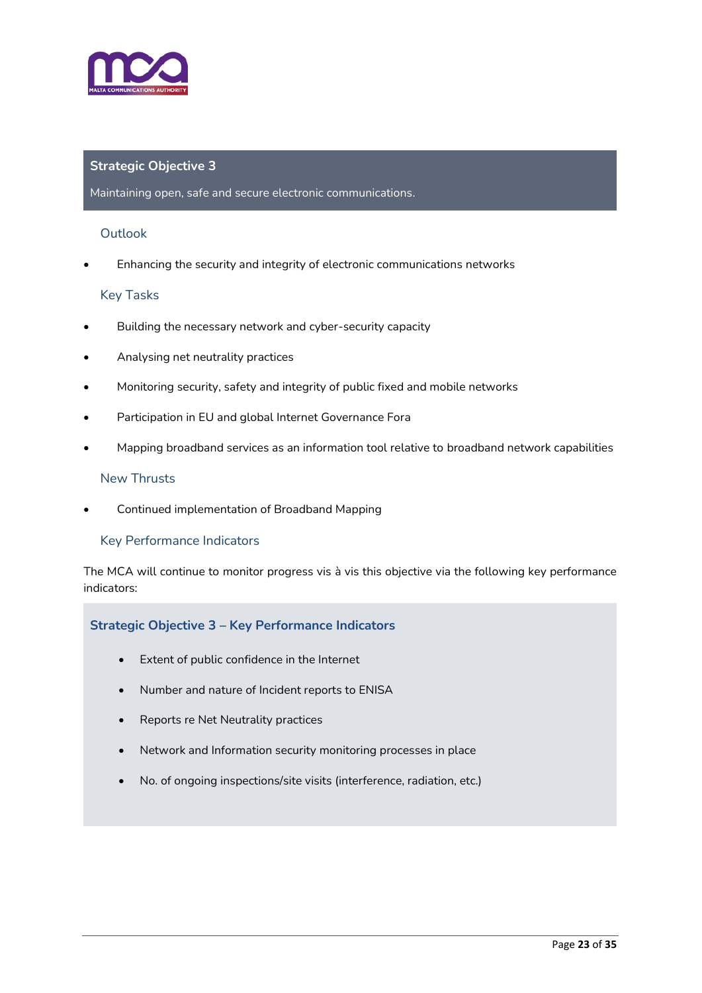

#### Maintaining open, safe and secure electronic communications.

#### **Outlook**

• Enhancing the security and integrity of electronic communications networks

#### Key Tasks

- Building the necessary network and cyber-security capacity
- Analysing net neutrality practices
- Monitoring security, safety and integrity of public fixed and mobile networks
- Participation in EU and global Internet Governance Fora
- Mapping broadband services as an information tool relative to broadband network capabilities

#### New Thrusts

• Continued implementation of Broadband Mapping

#### Key Performance Indicators

The MCA will continue to monitor progress vis à vis this objective via the following key performance indicators:

#### **Strategic Objective 3 – Key Performance Indicators**

- Extent of public confidence in the Internet
- Number and nature of Incident reports to ENISA
- Reports re Net Neutrality practices
- Network and Information security monitoring processes in place
- No. of ongoing inspections/site visits (interference, radiation, etc.)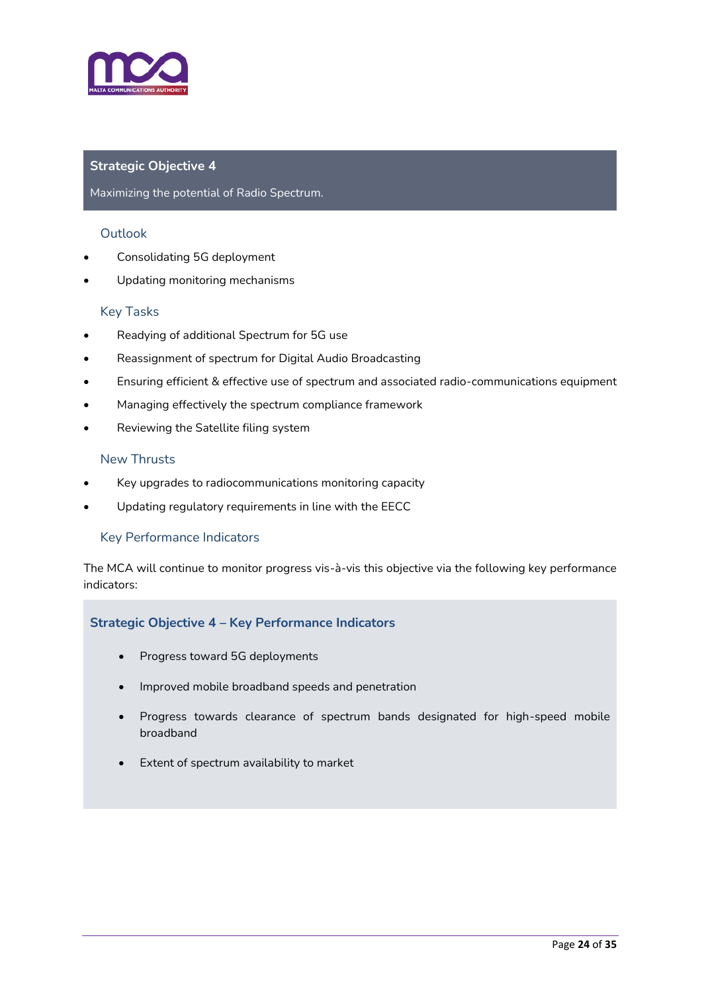

#### Maximizing the potential of Radio Spectrum.

#### **Outlook**

- Consolidating 5G deployment
- Updating monitoring mechanisms

#### Key Tasks

- Readying of additional Spectrum for 5G use
- Reassignment of spectrum for Digital Audio Broadcasting
- Ensuring efficient & effective use of spectrum and associated radio-communications equipment
- Managing effectively the spectrum compliance framework
- Reviewing the Satellite filing system

#### New Thrusts

- Key upgrades to radiocommunications monitoring capacity
- Updating regulatory requirements in line with the EECC

#### Key Performance Indicators

The MCA will continue to monitor progress vis-à-vis this objective via the following key performance indicators:

#### **Strategic Objective 4 – Key Performance Indicators**

- Progress toward 5G deployments
- Improved mobile broadband speeds and penetration
- Progress towards clearance of spectrum bands designated for high-speed mobile broadband
- Extent of spectrum availability to market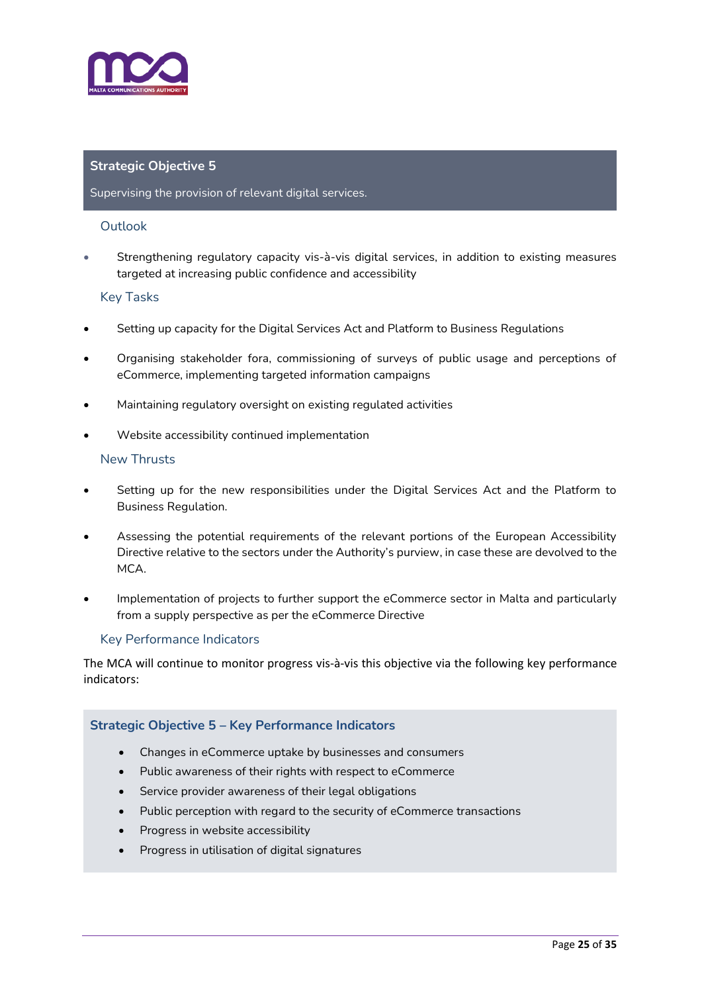

#### Supervising the provision of relevant digital services.

#### Outlook

• Strengthening regulatory capacity vis-à-vis digital services, in addition to existing measures targeted at increasing public confidence and accessibility

#### Key Tasks

- Setting up capacity for the Digital Services Act and Platform to Business Regulations
- Organising stakeholder fora, commissioning of surveys of public usage and perceptions of eCommerce, implementing targeted information campaigns
- Maintaining regulatory oversight on existing regulated activities
- Website accessibility continued implementation

#### New Thrusts

- Setting up for the new responsibilities under the Digital Services Act and the Platform to Business Regulation.
- Assessing the potential requirements of the relevant portions of the European Accessibility Directive relative to the sectors under the Authority's purview, in case these are devolved to the MCA.
- Implementation of projects to further support the eCommerce sector in Malta and particularly from a supply perspective as per the eCommerce Directive

#### Key Performance Indicators

The MCA will continue to monitor progress vis-à-vis this objective via the following key performance indicators:

#### **Strategic Objective 5 – Key Performance Indicators**

- Changes in eCommerce uptake by businesses and consumers
- Public awareness of their rights with respect to eCommerce
- Service provider awareness of their legal obligations
- Public perception with regard to the security of eCommerce transactions
- Progress in website accessibility
- Progress in utilisation of digital signatures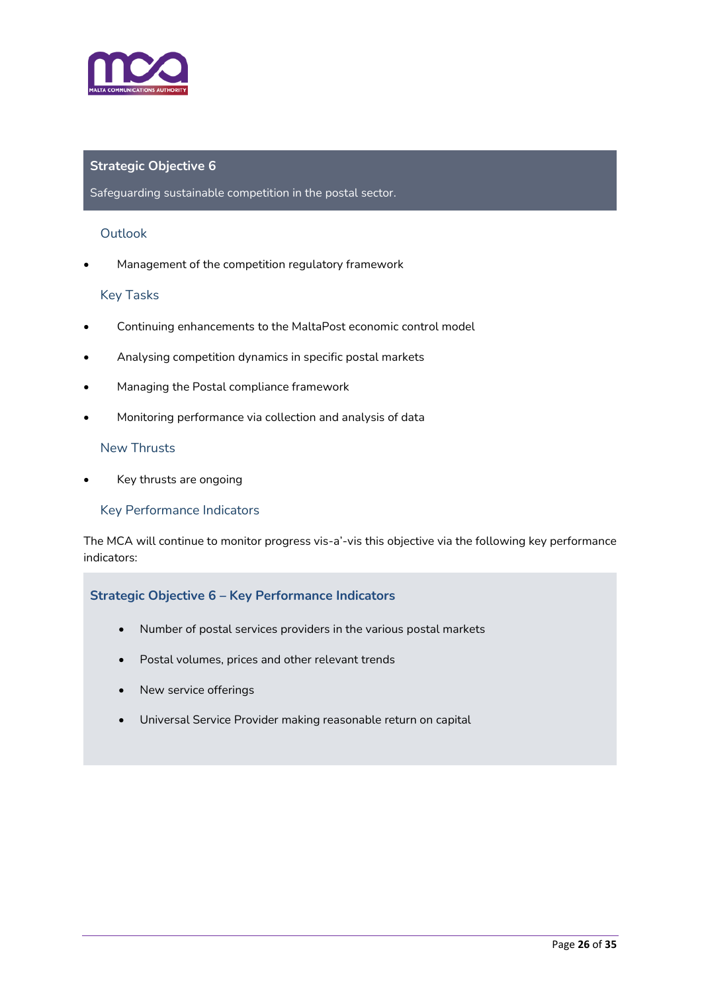

#### Safeguarding sustainable competition in the postal sector.

#### **Outlook**

• Management of the competition regulatory framework

#### Key Tasks

- Continuing enhancements to the MaltaPost economic control model
- Analysing competition dynamics in specific postal markets
- Managing the Postal compliance framework
- Monitoring performance via collection and analysis of data

#### New Thrusts

Key thrusts are ongoing

#### Key Performance Indicators

The MCA will continue to monitor progress vis-a'-vis this objective via the following key performance indicators:

#### **Strategic Objective 6 – Key Performance Indicators**

- Number of postal services providers in the various postal markets
- Postal volumes, prices and other relevant trends
- New service offerings
- Universal Service Provider making reasonable return on capital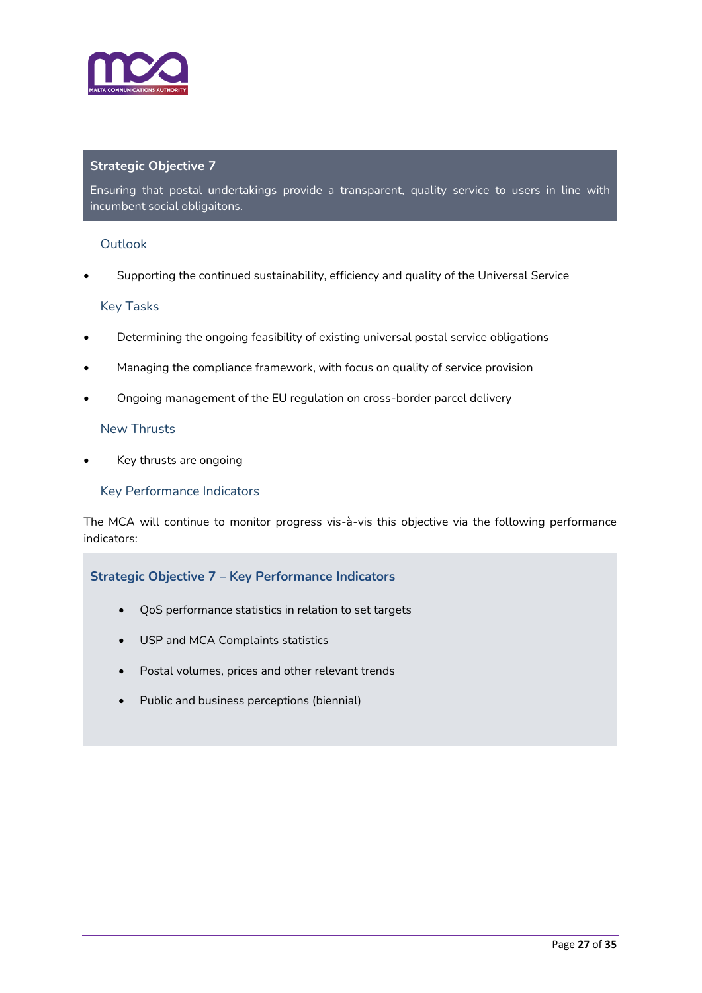

Ensuring that postal undertakings provide a transparent, quality service to users in line with incumbent social obligaitons.

#### Outlook

• Supporting the continued sustainability, efficiency and quality of the Universal Service

#### Key Tasks

- Determining the ongoing feasibility of existing universal postal service obligations
- Managing the compliance framework, with focus on quality of service provision
- Ongoing management of the EU regulation on cross-border parcel delivery

#### New Thrusts

• Key thrusts are ongoing

#### Key Performance Indicators

The MCA will continue to monitor progress vis-à-vis this objective via the following performance indicators:

#### **Strategic Objective 7 – Key Performance Indicators**

- QoS performance statistics in relation to set targets
- USP and MCA Complaints statistics
- Postal volumes, prices and other relevant trends
- Public and business perceptions (biennial)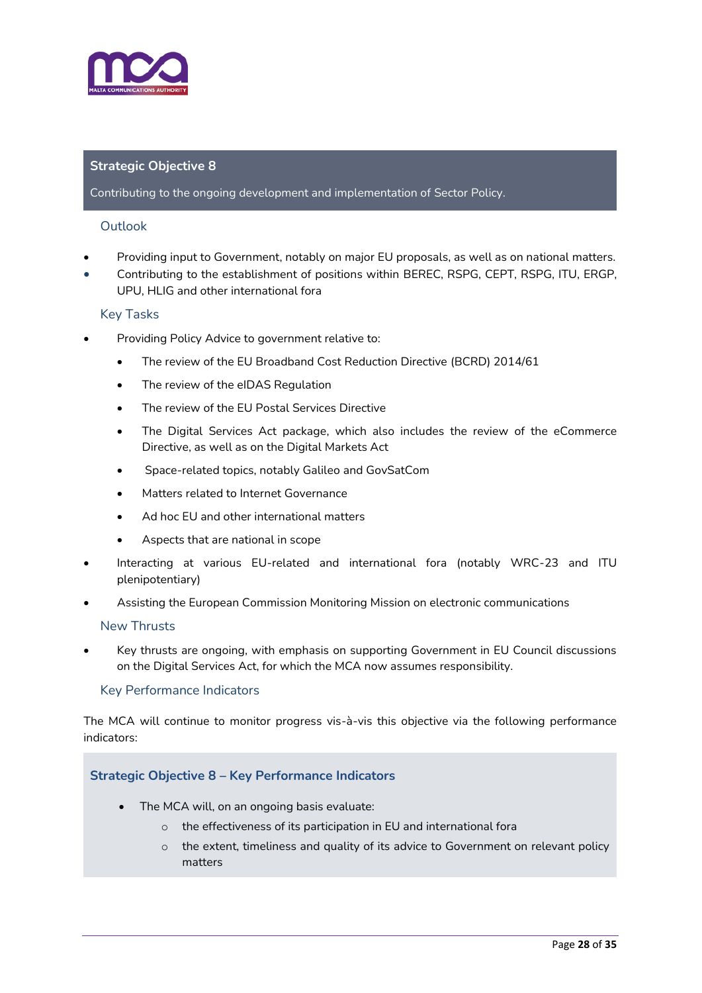

#### Contributing to the ongoing development and implementation of Sector Policy.

#### Outlook

- Providing input to Government, notably on major EU proposals, as well as on national matters.
- Contributing to the establishment of positions within BEREC, RSPG, CEPT, RSPG, ITU, ERGP, UPU, HLIG and other international fora

#### Key Tasks

- Providing Policy Advice to government relative to:
	- The review of the EU Broadband Cost Reduction Directive (BCRD) 2014/61
	- The review of the eIDAS Regulation
	- The review of the EU Postal Services Directive
	- The Digital Services Act package, which also includes the review of the eCommerce Directive, as well as on the Digital Markets Act
	- Space-related topics, notably Galileo and GovSatCom
	- Matters related to Internet Governance
	- Ad hoc EU and other international matters
	- Aspects that are national in scope
- Interacting at various EU-related and international fora (notably WRC-23 and ITU plenipotentiary)
- Assisting the European Commission Monitoring Mission on electronic communications

#### New Thrusts

• Key thrusts are ongoing, with emphasis on supporting Government in EU Council discussions on the Digital Services Act, for which the MCA now assumes responsibility.

#### Key Performance Indicators

The MCA will continue to monitor progress vis-à-vis this objective via the following performance indicators:

#### **Strategic Objective 8 – Key Performance Indicators**

- The MCA will, on an ongoing basis evaluate:
	- o the effectiveness of its participation in EU and international fora
	- $\circ$  the extent, timeliness and quality of its advice to Government on relevant policy matters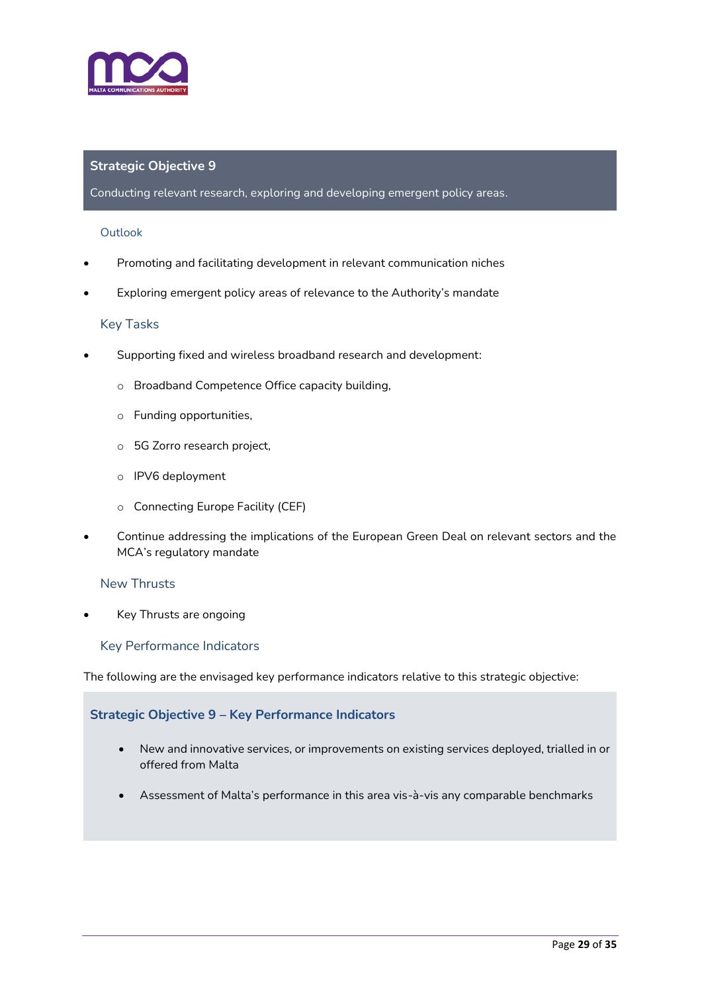

Conducting relevant research, exploring and developing emergent policy areas.

#### **Outlook**

- Promoting and facilitating development in relevant communication niches
- Exploring emergent policy areas of relevance to the Authority's mandate

#### Key Tasks

- Supporting fixed and wireless broadband research and development:
	- o Broadband Competence Office capacity building,
	- o Funding opportunities,
	- o 5G Zorro research project,
	- o IPV6 deployment
	- o Connecting Europe Facility (CEF)
- Continue addressing the implications of the European Green Deal on relevant sectors and the MCA's regulatory mandate

#### New Thrusts

• Key Thrusts are ongoing

#### Key Performance Indicators

The following are the envisaged key performance indicators relative to this strategic objective:

#### **Strategic Objective 9 – Key Performance Indicators**

- New and innovative services, or improvements on existing services deployed, trialled in or offered from Malta
- Assessment of Malta's performance in this area vis-à-vis any comparable benchmarks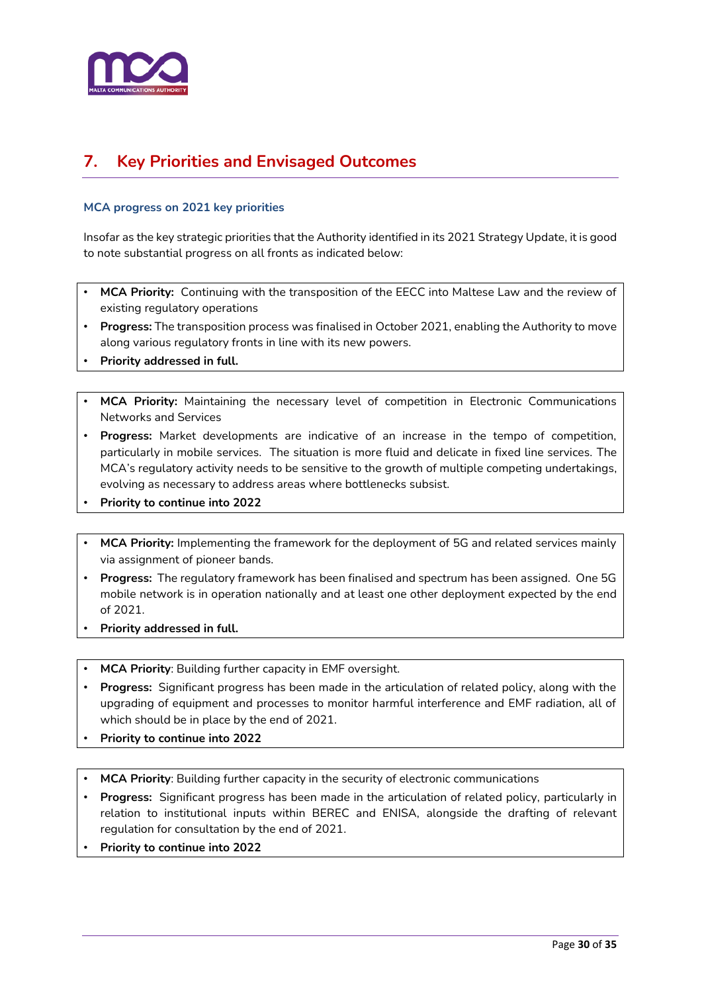

# <span id="page-29-0"></span>**7. Key Priorities and Envisaged Outcomes**

#### **MCA progress on 2021 key priorities**

Insofar as the key strategic priorities that the Authority identified in its 2021 Strategy Update, it is good to note substantial progress on all fronts as indicated below:

- **MCA Priority:** Continuing with the transposition of the EECC into Maltese Law and the review of existing regulatory operations
- **Progress:** The transposition process was finalised in October 2021, enabling the Authority to move along various regulatory fronts in line with its new powers.
- **Priority addressed in full.**
- **MCA Priority:** Maintaining the necessary level of competition in Electronic Communications Networks and Services
- **Progress:** Market developments are indicative of an increase in the tempo of competition, particularly in mobile services. The situation is more fluid and delicate in fixed line services. The MCA's regulatory activity needs to be sensitive to the growth of multiple competing undertakings, evolving as necessary to address areas where bottlenecks subsist.
- **Priority to continue into 2022**
- **MCA Priority:** Implementing the framework for the deployment of 5G and related services mainly via assignment of pioneer bands.
- **Progress:** The regulatory framework has been finalised and spectrum has been assigned. One 5G mobile network is in operation nationally and at least one other deployment expected by the end of 2021.
- **Priority addressed in full.**
- **MCA Priority**: Building further capacity in EMF oversight.
- **Progress:** Significant progress has been made in the articulation of related policy, along with the upgrading of equipment and processes to monitor harmful interference and EMF radiation, all of which should be in place by the end of 2021.
- **Priority to continue into 2022**
- **MCA Priority**: Building further capacity in the security of electronic communications
- **Progress:** Significant progress has been made in the articulation of related policy, particularly in relation to institutional inputs within BEREC and ENISA, alongside the drafting of relevant regulation for consultation by the end of 2021.
- **Priority to continue into 2022**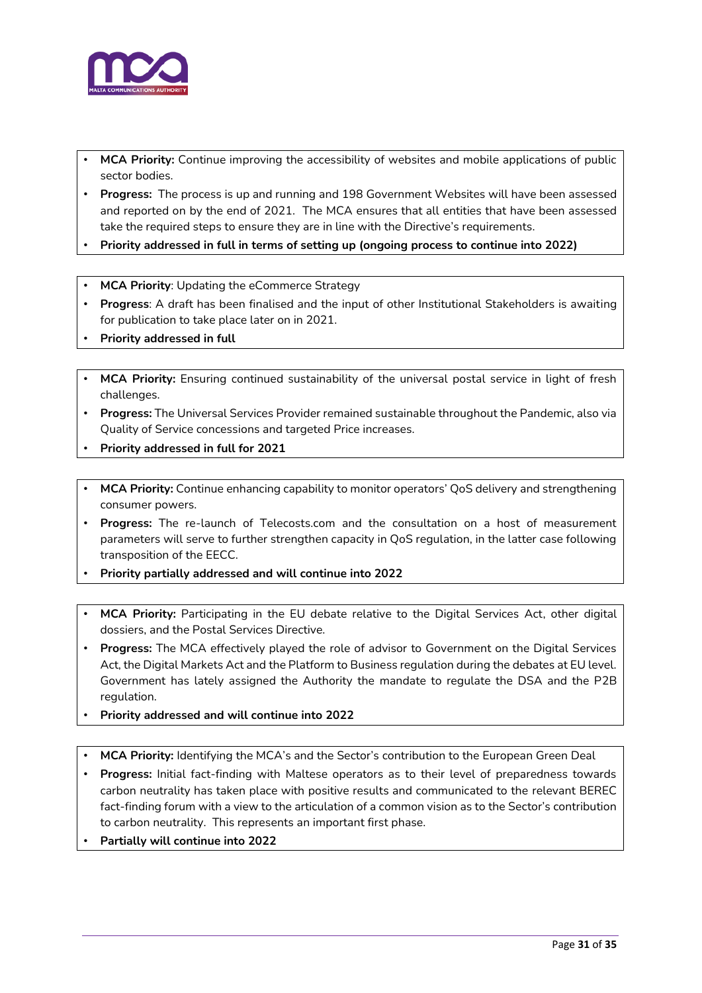

- **MCA Priority:** Continue improving the accessibility of websites and mobile applications of public sector bodies.
- **Progress:** The process is up and running and 198 Government Websites will have been assessed and reported on by the end of 2021. The MCA ensures that all entities that have been assessed take the required steps to ensure they are in line with the Directive's requirements.
- **Priority addressed in full in terms of setting up (ongoing process to continue into 2022)**
- **MCA Priority: Updating the eCommerce Strategy**
- **Progress**: A draft has been finalised and the input of other Institutional Stakeholders is awaiting for publication to take place later on in 2021.
- **Priority addressed in full**
- **MCA Priority:** Ensuring continued sustainability of the universal postal service in light of fresh challenges.
- **Progress:** The Universal Services Provider remained sustainable throughout the Pandemic, also via Quality of Service concessions and targeted Price increases.
- **Priority addressed in full for 2021**
- **MCA Priority:** Continue enhancing capability to monitor operators' QoS delivery and strengthening consumer powers.
- **Progress:** The re-launch of Telecosts.com and the consultation on a host of measurement parameters will serve to further strengthen capacity in QoS regulation, in the latter case following transposition of the EECC.
- **Priority partially addressed and will continue into 2022**
- **MCA Priority:** Participating in the EU debate relative to the Digital Services Act, other digital dossiers, and the Postal Services Directive.
- **Progress:** The MCA effectively played the role of advisor to Government on the Digital Services Act, the Digital Markets Act and the Platform to Business regulation during the debates at EU level. Government has lately assigned the Authority the mandate to regulate the DSA and the P2B regulation.
- **Priority addressed and will continue into 2022**
- **MCA Priority:** Identifying the MCA's and the Sector's contribution to the European Green Deal
- **Progress:** Initial fact-finding with Maltese operators as to their level of preparedness towards carbon neutrality has taken place with positive results and communicated to the relevant BEREC fact-finding forum with a view to the articulation of a common vision as to the Sector's contribution to carbon neutrality. This represents an important first phase.
- **Partially will continue into 2022**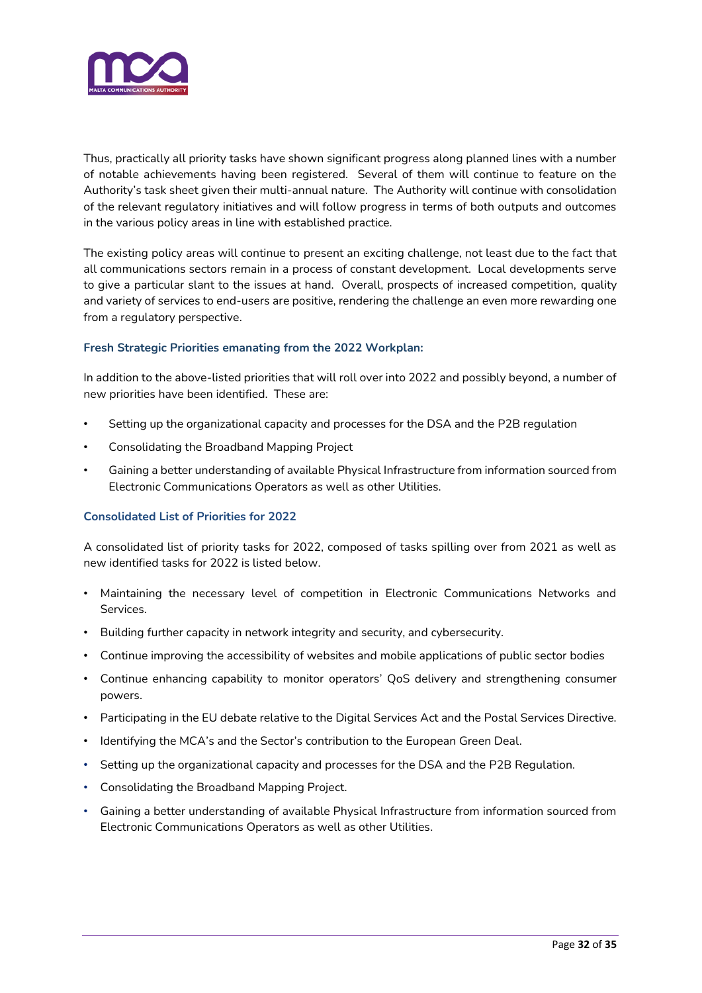

Thus, practically all priority tasks have shown significant progress along planned lines with a number of notable achievements having been registered. Several of them will continue to feature on the Authority's task sheet given their multi-annual nature. The Authority will continue with consolidation of the relevant regulatory initiatives and will follow progress in terms of both outputs and outcomes in the various policy areas in line with established practice.

The existing policy areas will continue to present an exciting challenge, not least due to the fact that all communications sectors remain in a process of constant development. Local developments serve to give a particular slant to the issues at hand. Overall, prospects of increased competition, quality and variety of services to end-users are positive, rendering the challenge an even more rewarding one from a regulatory perspective.

#### **Fresh Strategic Priorities emanating from the 2022 Workplan:**

In addition to the above-listed priorities that will roll over into 2022 and possibly beyond, a number of new priorities have been identified. These are:

- Setting up the organizational capacity and processes for the DSA and the P2B regulation
- Consolidating the Broadband Mapping Project
- Gaining a better understanding of available Physical Infrastructure from information sourced from Electronic Communications Operators as well as other Utilities.

#### **Consolidated List of Priorities for 2022**

A consolidated list of priority tasks for 2022, composed of tasks spilling over from 2021 as well as new identified tasks for 2022 is listed below.

- Maintaining the necessary level of competition in Electronic Communications Networks and Services.
- Building further capacity in network integrity and security, and cybersecurity.
- Continue improving the accessibility of websites and mobile applications of public sector bodies
- Continue enhancing capability to monitor operators' QoS delivery and strengthening consumer powers.
- Participating in the EU debate relative to the Digital Services Act and the Postal Services Directive.
- Identifying the MCA's and the Sector's contribution to the European Green Deal.
- Setting up the organizational capacity and processes for the DSA and the P2B Regulation.
- Consolidating the Broadband Mapping Project.
- Gaining a better understanding of available Physical Infrastructure from information sourced from Electronic Communications Operators as well as other Utilities.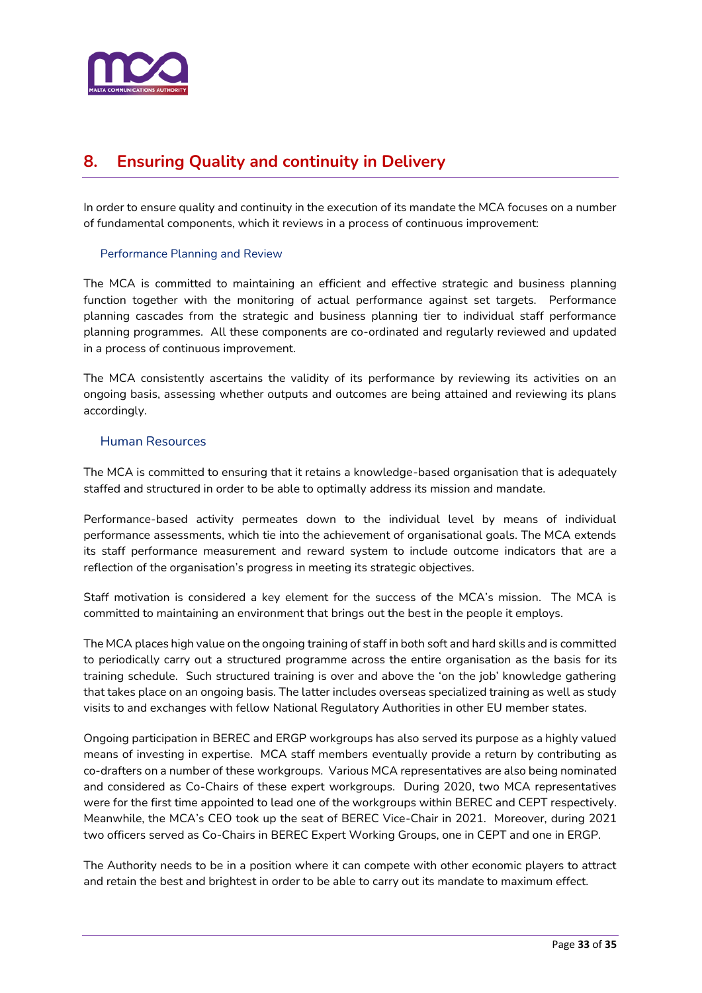

# <span id="page-32-0"></span>**8. Ensuring Quality and continuity in Delivery**

In order to ensure quality and continuity in the execution of its mandate the MCA focuses on a number of fundamental components, which it reviews in a process of continuous improvement:

#### Performance Planning and Review

The MCA is committed to maintaining an efficient and effective strategic and business planning function together with the monitoring of actual performance against set targets. Performance planning cascades from the strategic and business planning tier to individual staff performance planning programmes. All these components are co-ordinated and regularly reviewed and updated in a process of continuous improvement.

The MCA consistently ascertains the validity of its performance by reviewing its activities on an ongoing basis, assessing whether outputs and outcomes are being attained and reviewing its plans accordingly.

#### Human Resources

The MCA is committed to ensuring that it retains a knowledge-based organisation that is adequately staffed and structured in order to be able to optimally address its mission and mandate.

Performance-based activity permeates down to the individual level by means of individual performance assessments, which tie into the achievement of organisational goals. The MCA extends its staff performance measurement and reward system to include outcome indicators that are a reflection of the organisation's progress in meeting its strategic objectives.

Staff motivation is considered a key element for the success of the MCA's mission. The MCA is committed to maintaining an environment that brings out the best in the people it employs.

The MCA places high value on the ongoing training of staff in both soft and hard skills and is committed to periodically carry out a structured programme across the entire organisation as the basis for its training schedule. Such structured training is over and above the 'on the job' knowledge gathering that takes place on an ongoing basis. The latter includes overseas specialized training as well as study visits to and exchanges with fellow National Regulatory Authorities in other EU member states.

Ongoing participation in BEREC and ERGP workgroups has also served its purpose as a highly valued means of investing in expertise. MCA staff members eventually provide a return by contributing as co-drafters on a number of these workgroups. Various MCA representatives are also being nominated and considered as Co-Chairs of these expert workgroups. During 2020, two MCA representatives were for the first time appointed to lead one of the workgroups within BEREC and CEPT respectively. Meanwhile, the MCA's CEO took up the seat of BEREC Vice-Chair in 2021. Moreover, during 2021 two officers served as Co-Chairs in BEREC Expert Working Groups, one in CEPT and one in ERGP.

The Authority needs to be in a position where it can compete with other economic players to attract and retain the best and brightest in order to be able to carry out its mandate to maximum effect.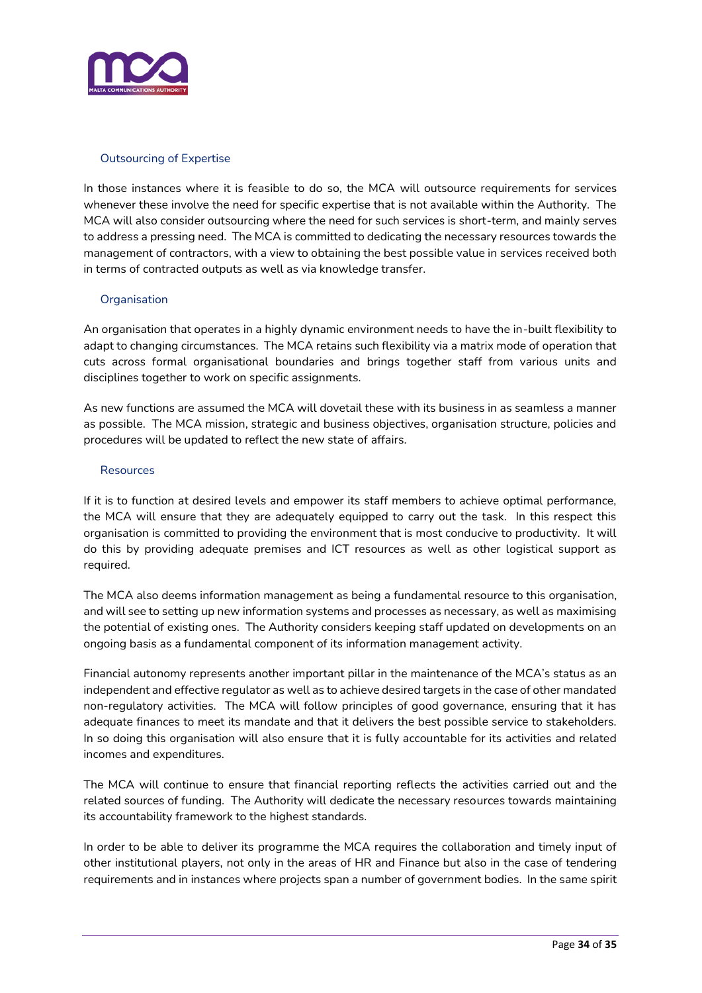

#### Outsourcing of Expertise

In those instances where it is feasible to do so, the MCA will outsource requirements for services whenever these involve the need for specific expertise that is not available within the Authority. The MCA will also consider outsourcing where the need for such services is short-term, and mainly serves to address a pressing need. The MCA is committed to dedicating the necessary resources towards the management of contractors, with a view to obtaining the best possible value in services received both in terms of contracted outputs as well as via knowledge transfer.

#### **Organisation**

An organisation that operates in a highly dynamic environment needs to have the in-built flexibility to adapt to changing circumstances. The MCA retains such flexibility via a matrix mode of operation that cuts across formal organisational boundaries and brings together staff from various units and disciplines together to work on specific assignments.

As new functions are assumed the MCA will dovetail these with its business in as seamless a manner as possible. The MCA mission, strategic and business objectives, organisation structure, policies and procedures will be updated to reflect the new state of affairs.

#### **Resources**

If it is to function at desired levels and empower its staff members to achieve optimal performance, the MCA will ensure that they are adequately equipped to carry out the task. In this respect this organisation is committed to providing the environment that is most conducive to productivity. It will do this by providing adequate premises and ICT resources as well as other logistical support as required.

The MCA also deems information management as being a fundamental resource to this organisation, and will see to setting up new information systems and processes as necessary, as well as maximising the potential of existing ones. The Authority considers keeping staff updated on developments on an ongoing basis as a fundamental component of its information management activity.

Financial autonomy represents another important pillar in the maintenance of the MCA's status as an independent and effective regulator as well as to achieve desired targets in the case of other mandated non-regulatory activities. The MCA will follow principles of good governance, ensuring that it has adequate finances to meet its mandate and that it delivers the best possible service to stakeholders. In so doing this organisation will also ensure that it is fully accountable for its activities and related incomes and expenditures.

The MCA will continue to ensure that financial reporting reflects the activities carried out and the related sources of funding. The Authority will dedicate the necessary resources towards maintaining its accountability framework to the highest standards.

In order to be able to deliver its programme the MCA requires the collaboration and timely input of other institutional players, not only in the areas of HR and Finance but also in the case of tendering requirements and in instances where projects span a number of government bodies. In the same spirit